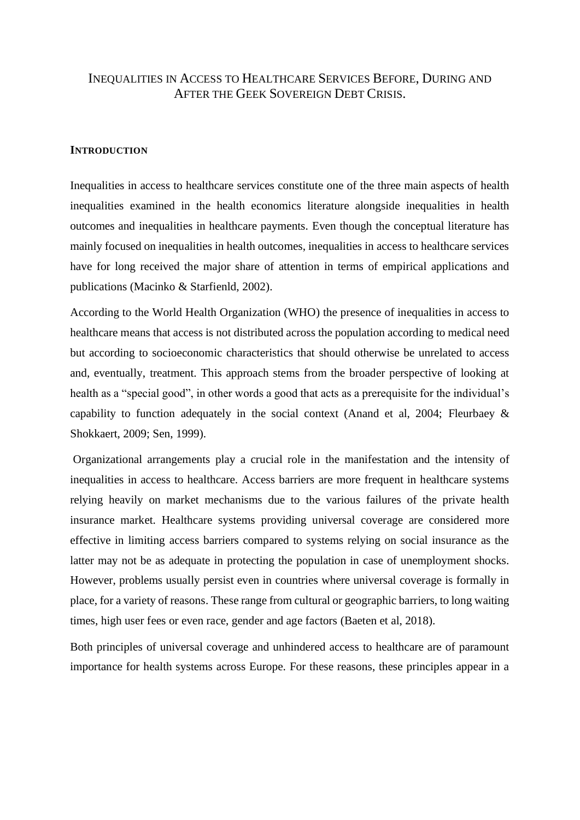# INEQUALITIES IN ACCESS TO HEALTHCARE SERVICES BEFORE, DURING AND AFTER THE GEEK SOVEREIGN DEBT CRISIS.

#### **INTRODUCTION**

Inequalities in access to healthcare services constitute one of the three main aspects of health inequalities examined in the health economics literature alongside inequalities in health outcomes and inequalities in healthcare payments. Even though the conceptual literature has mainly focused on inequalities in health outcomes, inequalities in access to healthcare services have for long received the major share of attention in terms of empirical applications and publications (Macinko & Starfienld, 2002).

According to the World Health Organization (WHO) the presence of inequalities in access to healthcare means that access is not distributed across the population according to medical need but according to socioeconomic characteristics that should otherwise be unrelated to access and, eventually, treatment. This approach stems from the broader perspective of looking at health as a "special good", in other words a good that acts as a prerequisite for the individual's capability to function adequately in the social context (Anand et al, 2004; Fleurbaey & Shokkaert, 2009; Sen, 1999).

Organizational arrangements play a crucial role in the manifestation and the intensity of inequalities in access to healthcare. Access barriers are more frequent in healthcare systems relying heavily on market mechanisms due to the various failures of the private health insurance market. Healthcare systems providing universal coverage are considered more effective in limiting access barriers compared to systems relying on social insurance as the latter may not be as adequate in protecting the population in case of unemployment shocks. However, problems usually persist even in countries where universal coverage is formally in place, for a variety of reasons. These range from cultural or geographic barriers, to long waiting times, high user fees or even race, gender and age factors (Baeten et al, 2018).

Both principles of universal coverage and unhindered access to healthcare are of paramount importance for health systems across Europe. For these reasons, these principles appear in a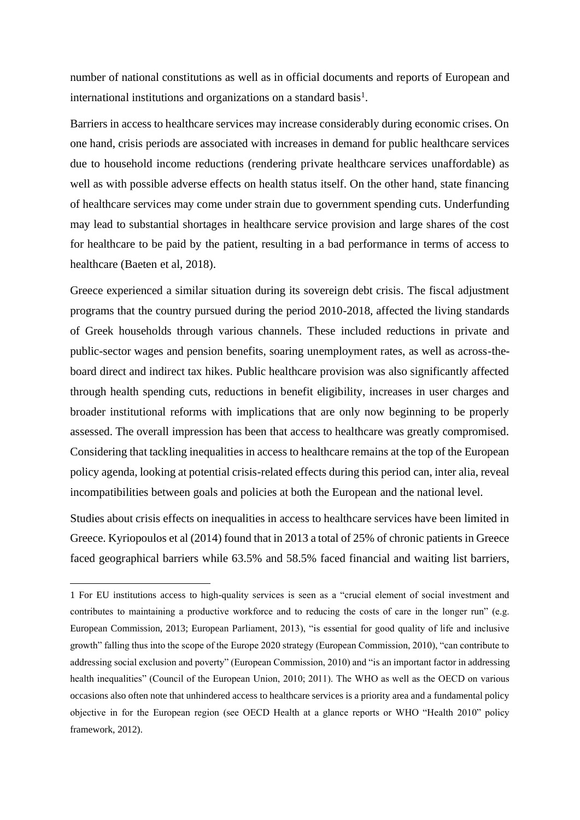number of national constitutions as well as in official documents and reports of European and international institutions and organizations on a standard basis<sup>1</sup>.

Barriers in access to healthcare services may increase considerably during economic crises. On one hand, crisis periods are associated with increases in demand for public healthcare services due to household income reductions (rendering private healthcare services unaffordable) as well as with possible adverse effects on health status itself. On the other hand, state financing of healthcare services may come under strain due to government spending cuts. Underfunding may lead to substantial shortages in healthcare service provision and large shares of the cost for healthcare to be paid by the patient, resulting in a bad performance in terms of access to healthcare (Baeten et al, 2018).

Greece experienced a similar situation during its sovereign debt crisis. The fiscal adjustment programs that the country pursued during the period 2010-2018, affected the living standards of Greek households through various channels. These included reductions in private and public-sector wages and pension benefits, soaring unemployment rates, as well as across-theboard direct and indirect tax hikes. Public healthcare provision was also significantly affected through health spending cuts, reductions in benefit eligibility, increases in user charges and broader institutional reforms with implications that are only now beginning to be properly assessed. The overall impression has been that access to healthcare was greatly compromised. Considering that tackling inequalities in access to healthcare remains at the top of the European policy agenda, looking at potential crisis-related effects during this period can, inter alia, reveal incompatibilities between goals and policies at both the European and the national level.

Studies about crisis effects on inequalities in access to healthcare services have been limited in Greece. Kyriopoulos et al (2014) found that in 2013 a total of 25% of chronic patients in Greece faced geographical barriers while 63.5% and 58.5% faced financial and waiting list barriers,

<sup>1</sup> For EU institutions access to high-quality services is seen as a "crucial element of social investment and contributes to maintaining a productive workforce and to reducing the costs of care in the longer run" (e.g. European Commission, 2013; European Parliament, 2013), "is essential for good quality of life and inclusive growth" falling thus into the scope of the Europe 2020 strategy (European Commission, 2010), "can contribute to addressing social exclusion and poverty" (European Commission, 2010) and "is an important factor in addressing health inequalities" (Council of the European Union, 2010; 2011). The WHO as well as the OECD on various occasions also often note that unhindered access to healthcare services is a priority area and a fundamental policy objective in for the European region (see OECD Health at a glance reports or WHO "Health 2010" policy framework, 2012).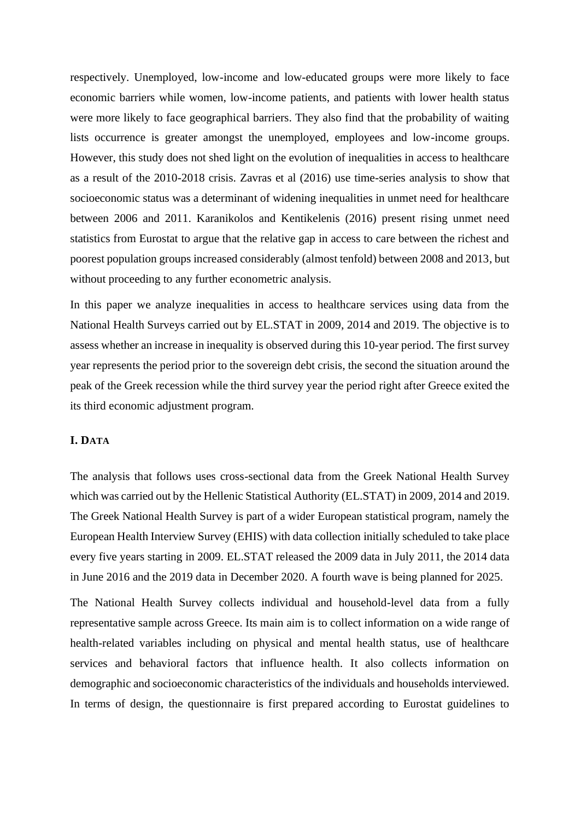respectively. Unemployed, low-income and low-educated groups were more likely to face economic barriers while women, low-income patients, and patients with lower health status were more likely to face geographical barriers. They also find that the probability of waiting lists occurrence is greater amongst the unemployed, employees and low-income groups. However, this study does not shed light on the evolution of inequalities in access to healthcare as a result of the 2010-2018 crisis. Zavras et al (2016) use time-series analysis to show that socioeconomic status was a determinant of widening inequalities in unmet need for healthcare between 2006 and 2011. Karanikolos and Kentikelenis (2016) present rising unmet need statistics from Eurostat to argue that the relative gap in access to care between the richest and poorest population groups increased considerably (almost tenfold) between 2008 and 2013, but without proceeding to any further econometric analysis.

In this paper we analyze inequalities in access to healthcare services using data from the National Health Surveys carried out by EL.STAT in 2009, 2014 and 2019. The objective is to assess whether an increase in inequality is observed during this 10-year period. The first survey year represents the period prior to the sovereign debt crisis, the second the situation around the peak of the Greek recession while the third survey year the period right after Greece exited the its third economic adjustment program.

#### **I. DATA**

The analysis that follows uses cross-sectional data from the Greek National Health Survey which was carried out by the Hellenic Statistical Authority (EL.STAT) in 2009, 2014 and 2019. The Greek National Health Survey is part of a wider European statistical program, namely the European Health Interview Survey (EHIS) with data collection initially scheduled to take place every five years starting in 2009. EL.STAT released the 2009 data in July 2011, the 2014 data in June 2016 and the 2019 data in December 2020. A fourth wave is being planned for 2025.

The National Health Survey collects individual and household-level data from a fully representative sample across Greece. Its main aim is to collect information on a wide range of health-related variables including on physical and mental health status, use of healthcare services and behavioral factors that influence health. It also collects information on demographic and socioeconomic characteristics of the individuals and households interviewed. In terms of design, the questionnaire is first prepared according to Eurostat guidelines to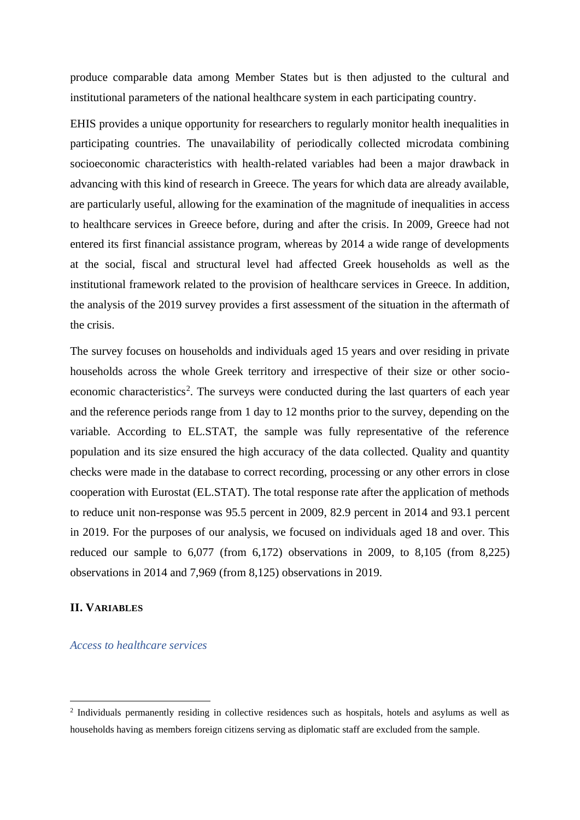produce comparable data among Member States but is then adjusted to the cultural and institutional parameters of the national healthcare system in each participating country.

EHIS provides a unique opportunity for researchers to regularly monitor health inequalities in participating countries. The unavailability of periodically collected microdata combining socioeconomic characteristics with health-related variables had been a major drawback in advancing with this kind of research in Greece. The years for which data are already available, are particularly useful, allowing for the examination of the magnitude of inequalities in access to healthcare services in Greece before, during and after the crisis. In 2009, Greece had not entered its first financial assistance program, whereas by 2014 a wide range of developments at the social, fiscal and structural level had affected Greek households as well as the institutional framework related to the provision of healthcare services in Greece. In addition, the analysis of the 2019 survey provides a first assessment of the situation in the aftermath of the crisis.

The survey focuses on households and individuals aged 15 years and over residing in private households across the whole Greek territory and irrespective of their size or other socioeconomic characteristics<sup>2</sup>. The surveys were conducted during the last quarters of each year and the reference periods range from 1 day to 12 months prior to the survey, depending on the variable. According to EL.STAT, the sample was fully representative of the reference population and its size ensured the high accuracy of the data collected. Quality and quantity checks were made in the database to correct recording, processing or any other errors in close cooperation with Eurostat (EL.STAT). The total response rate after the application of methods to reduce unit non-response was 95.5 percent in 2009, 82.9 percent in 2014 and 93.1 percent in 2019. For the purposes of our analysis, we focused on individuals aged 18 and over. This reduced our sample to  $6,077$  (from  $6,172$ ) observations in 2009, to  $8,105$  (from  $8,225$ ) observations in 2014 and 7,969 (from 8,125) observations in 2019.

#### **II. VARIABLES**

*Access to healthcare services*

<sup>&</sup>lt;sup>2</sup> Individuals permanently residing in collective residences such as hospitals, hotels and asylums as well as households having as members foreign citizens serving as diplomatic staff are excluded from the sample.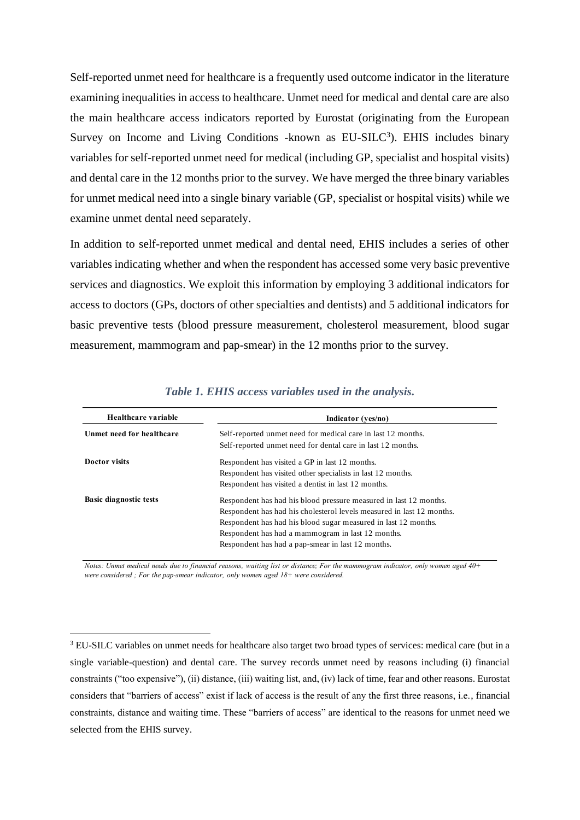Self-reported unmet need for healthcare is a frequently used outcome indicator in the literature examining inequalities in access to healthcare. Unmet need for medical and dental care are also the main healthcare access indicators reported by Eurostat (originating from the European Survey on Income and Living Conditions -known as  $EU-SILC<sup>3</sup>$ ). EHIS includes binary variables for self-reported unmet need for medical (including GP, specialist and hospital visits) and dental care in the 12 months prior to the survey. We have merged the three binary variables for unmet medical need into a single binary variable (GP, specialist or hospital visits) while we examine unmet dental need separately.

In addition to self-reported unmet medical and dental need, EHIS includes a series of other variables indicating whether and when the respondent has accessed some very basic preventive services and diagnostics. We exploit this information by employing 3 additional indicators for access to doctors (GPs, doctors of other specialties and dentists) and 5 additional indicators for basic preventive tests (blood pressure measurement, cholesterol measurement, blood sugar measurement, mammogram and pap-smear) in the 12 months prior to the survey.

| Healthcare variable           | Indicator (yes/no)                                                    |
|-------------------------------|-----------------------------------------------------------------------|
| Unmet need for healthcare     | Self-reported unmet need for medical care in last 12 months.          |
|                               | Self-reported unmet need for dental care in last 12 months.           |
| Doctor visits                 | Respondent has visited a GP in last 12 months.                        |
|                               | Respondent has visited other specialists in last 12 months.           |
|                               | Respondent has visited a dentist in last 12 months.                   |
| <b>Basic diagnostic tests</b> | Respondent has had his blood pressure measured in last 12 months.     |
|                               | Respondent has had his cholesterol levels measured in last 12 months. |
|                               | Respondent has had his blood sugar measured in last 12 months.        |
|                               | Respondent has had a mammogram in last 12 months.                     |
|                               | Respondent has had a pap-smear in last 12 months.                     |

*Table 1. EHIS access variables used in the analysis.*

Notes: Unmet medical needs due to financial reasons, waiting list or distance; For the mammogram indicator, only women aged  $40+$ *were considered ; For the pap-smear indicator, only women aged 18+ were considered.*

<sup>&</sup>lt;sup>3</sup> EU-SILC variables on unmet needs for healthcare also target two broad types of services: medical care (but in a single variable-question) and dental care. The survey records unmet need by reasons including (i) financial constraints ("too expensive"), (ii) distance, (iii) waiting list, and, (iv) lack of time, fear and other reasons. Eurostat considers that "barriers of access" exist if lack of access is the result of any the first three reasons, i.e., financial constraints, distance and waiting time. These "barriers of access" are identical to the reasons for unmet need we selected from the EHIS survey.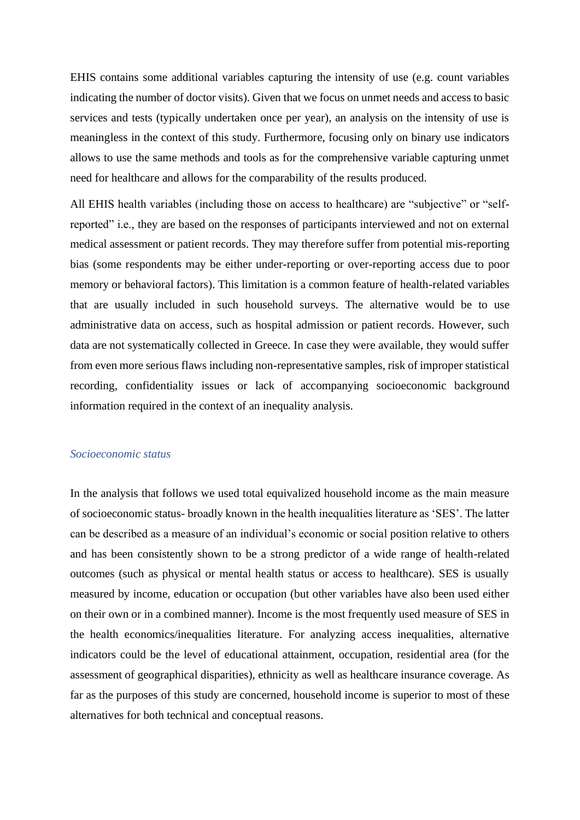EHIS contains some additional variables capturing the intensity of use (e.g. count variables indicating the number of doctor visits). Given that we focus on unmet needs and access to basic services and tests (typically undertaken once per year), an analysis on the intensity of use is meaningless in the context of this study. Furthermore, focusing only on binary use indicators allows to use the same methods and tools as for the comprehensive variable capturing unmet need for healthcare and allows for the comparability of the results produced.

All EHIS health variables (including those on access to healthcare) are "subjective" or "selfreported" i.e., they are based on the responses of participants interviewed and not on external medical assessment or patient records. They may therefore suffer from potential mis-reporting bias (some respondents may be either under-reporting or over-reporting access due to poor memory or behavioral factors). This limitation is a common feature of health-related variables that are usually included in such household surveys. The alternative would be to use administrative data on access, such as hospital admission or patient records. However, such data are not systematically collected in Greece. In case they were available, they would suffer from even more serious flaws including non-representative samples, risk of improper statistical recording, confidentiality issues or lack of accompanying socioeconomic background information required in the context of an inequality analysis.

#### *Socioeconomic status*

In the analysis that follows we used total equivalized household income as the main measure of socioeconomic status- broadly known in the health inequalities literature as 'SES'. The latter can be described as a measure of an individual's economic or social position relative to others and has been consistently shown to be a strong predictor of a wide range of health-related outcomes (such as physical or mental health status or access to healthcare). SES is usually measured by income, education or occupation (but other variables have also been used either on their own or in a combined manner). Income is the most frequently used measure of SES in the health economics/inequalities literature. For analyzing access inequalities, alternative indicators could be the level of educational attainment, occupation, residential area (for the assessment of geographical disparities), ethnicity as well as healthcare insurance coverage. As far as the purposes of this study are concerned, household income is superior to most of these alternatives for both technical and conceptual reasons.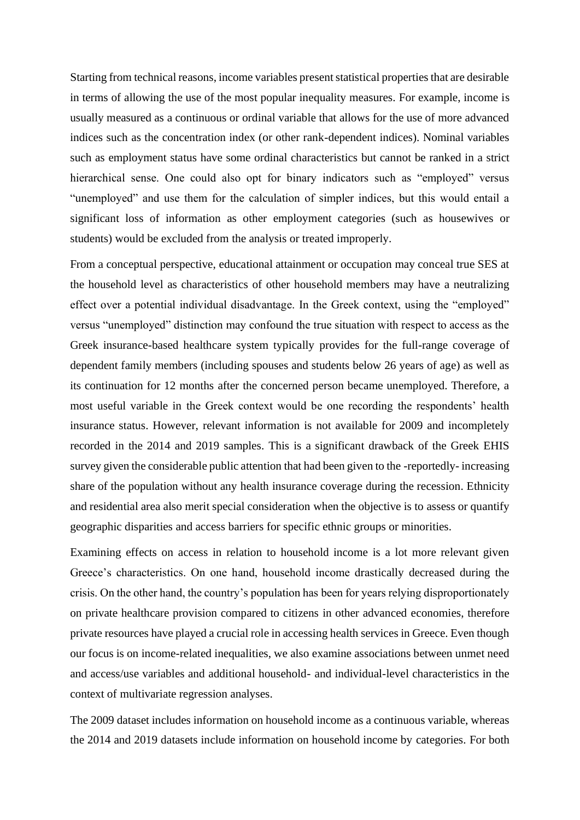Starting from technical reasons, income variables present statistical properties that are desirable in terms of allowing the use of the most popular inequality measures. For example, income is usually measured as a continuous or ordinal variable that allows for the use of more advanced indices such as the concentration index (or other rank-dependent indices). Nominal variables such as employment status have some ordinal characteristics but cannot be ranked in a strict hierarchical sense. One could also opt for binary indicators such as "employed" versus "unemployed" and use them for the calculation of simpler indices, but this would entail a significant loss of information as other employment categories (such as housewives or students) would be excluded from the analysis or treated improperly.

From a conceptual perspective, educational attainment or occupation may conceal true SES at the household level as characteristics of other household members may have a neutralizing effect over a potential individual disadvantage. In the Greek context, using the "employed" versus "unemployed" distinction may confound the true situation with respect to access as the Greek insurance-based healthcare system typically provides for the full-range coverage of dependent family members (including spouses and students below 26 years of age) as well as its continuation for 12 months after the concerned person became unemployed. Therefore, a most useful variable in the Greek context would be one recording the respondents' health insurance status. However, relevant information is not available for 2009 and incompletely recorded in the 2014 and 2019 samples. This is a significant drawback of the Greek EHIS survey given the considerable public attention that had been given to the -reportedly- increasing share of the population without any health insurance coverage during the recession. Ethnicity and residential area also merit special consideration when the objective is to assess or quantify geographic disparities and access barriers for specific ethnic groups or minorities.

Examining effects on access in relation to household income is a lot more relevant given Greece's characteristics. On one hand, household income drastically decreased during the crisis. On the other hand, the country's population has been for years relying disproportionately on private healthcare provision compared to citizens in other advanced economies, therefore private resources have played a crucial role in accessing health services in Greece. Even though our focus is on income-related inequalities, we also examine associations between unmet need and access/use variables and additional household- and individual-level characteristics in the context of multivariate regression analyses.

The 2009 dataset includes information on household income as a continuous variable, whereas the 2014 and 2019 datasets include information on household income by categories. For both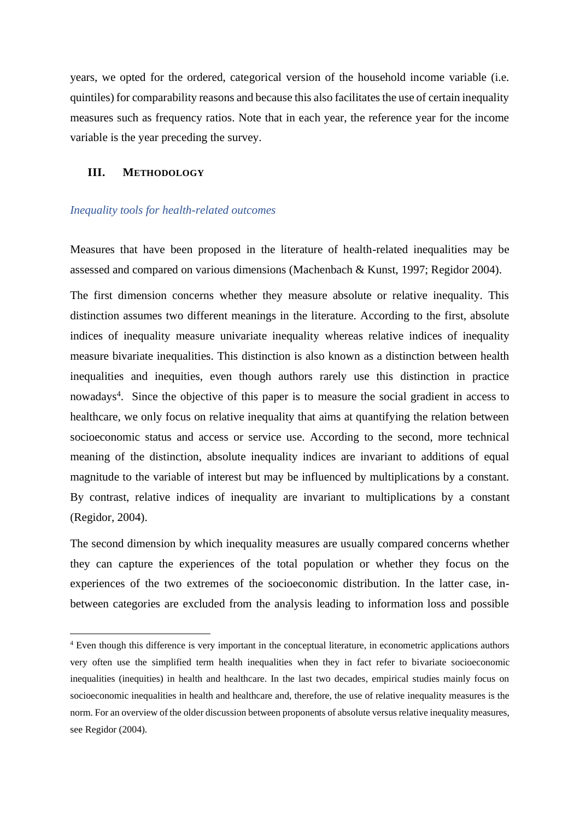years, we opted for the ordered, categorical version of the household income variable (i.e. quintiles) for comparability reasons and because this also facilitates the use of certain inequality measures such as frequency ratios. Note that in each year, the reference year for the income variable is the year preceding the survey.

#### **III. METHODOLOGY**

#### *Inequality tools for health-related outcomes*

Measures that have been proposed in the literature of health-related inequalities may be assessed and compared on various dimensions (Machenbach & Kunst, 1997; Regidor 2004).

The first dimension concerns whether they measure absolute or relative inequality. This distinction assumes two different meanings in the literature. According to the first, absolute indices of inequality measure univariate inequality whereas relative indices of inequality measure bivariate inequalities. This distinction is also known as a distinction between health inequalities and inequities, even though authors rarely use this distinction in practice nowadays<sup>4</sup>. Since the objective of this paper is to measure the social gradient in access to healthcare, we only focus on relative inequality that aims at quantifying the relation between socioeconomic status and access or service use. According to the second, more technical meaning of the distinction, absolute inequality indices are invariant to additions of equal magnitude to the variable of interest but may be influenced by multiplications by a constant. By contrast, relative indices of inequality are invariant to multiplications by a constant (Regidor, 2004).

The second dimension by which inequality measures are usually compared concerns whether they can capture the experiences of the total population or whether they focus on the experiences of the two extremes of the socioeconomic distribution. In the latter case, inbetween categories are excluded from the analysis leading to information loss and possible

<sup>4</sup> Even though this difference is very important in the conceptual literature, in econometric applications authors very often use the simplified term health inequalities when they in fact refer to bivariate socioeconomic inequalities (inequities) in health and healthcare. In the last two decades, empirical studies mainly focus on socioeconomic inequalities in health and healthcare and, therefore, the use of relative inequality measures is the norm. For an overview of the older discussion between proponents of absolute versus relative inequality measures, see Regidor (2004).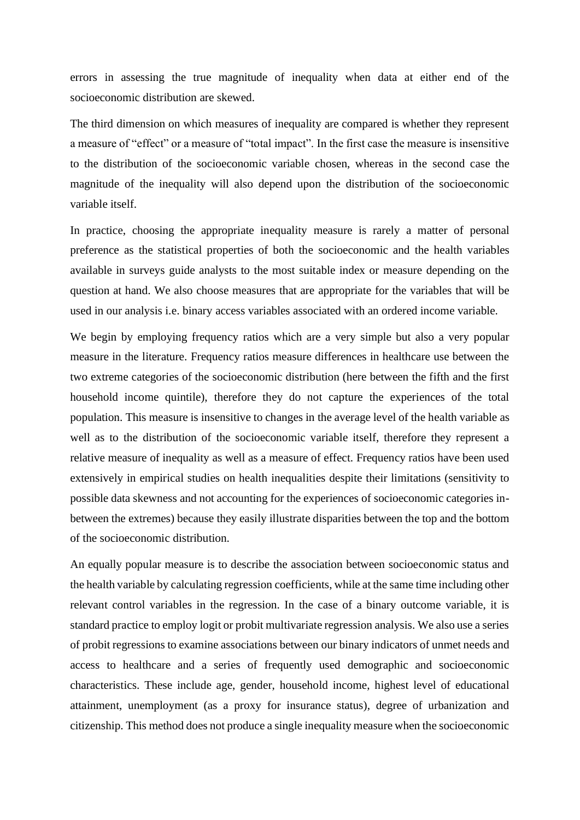errors in assessing the true magnitude of inequality when data at either end of the socioeconomic distribution are skewed.

The third dimension on which measures of inequality are compared is whether they represent a measure of "effect" or a measure of "total impact". In the first case the measure is insensitive to the distribution of the socioeconomic variable chosen, whereas in the second case the magnitude of the inequality will also depend upon the distribution of the socioeconomic variable itself.

In practice, choosing the appropriate inequality measure is rarely a matter of personal preference as the statistical properties of both the socioeconomic and the health variables available in surveys guide analysts to the most suitable index or measure depending on the question at hand. We also choose measures that are appropriate for the variables that will be used in our analysis i.e. binary access variables associated with an ordered income variable.

We begin by employing frequency ratios which are a very simple but also a very popular measure in the literature. Frequency ratios measure differences in healthcare use between the two extreme categories of the socioeconomic distribution (here between the fifth and the first household income quintile), therefore they do not capture the experiences of the total population. This measure is insensitive to changes in the average level of the health variable as well as to the distribution of the socioeconomic variable itself, therefore they represent a relative measure of inequality as well as a measure of effect. Frequency ratios have been used extensively in empirical studies on health inequalities despite their limitations (sensitivity to possible data skewness and not accounting for the experiences of socioeconomic categories inbetween the extremes) because they easily illustrate disparities between the top and the bottom of the socioeconomic distribution.

An equally popular measure is to describe the association between socioeconomic status and the health variable by calculating regression coefficients, while at the same time including other relevant control variables in the regression. In the case of a binary outcome variable, it is standard practice to employ logit or probit multivariate regression analysis. We also use a series of probit regressions to examine associations between our binary indicators of unmet needs and access to healthcare and a series of frequently used demographic and socioeconomic characteristics. These include age, gender, household income, highest level of educational attainment, unemployment (as a proxy for insurance status), degree of urbanization and citizenship. This method does not produce a single inequality measure when the socioeconomic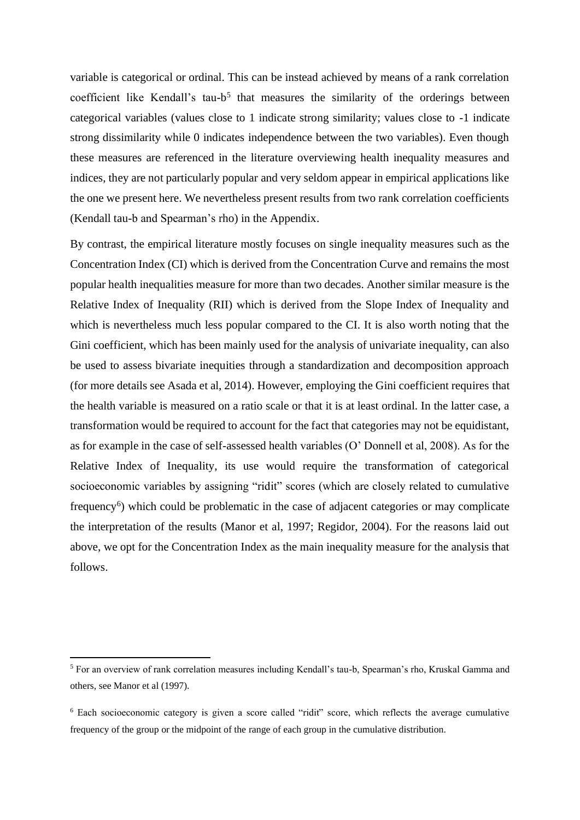variable is categorical or ordinal. This can be instead achieved by means of a rank correlation coefficient like Kendall's tau-b<sup>5</sup> that measures the similarity of the orderings between categorical variables (values close to 1 indicate strong similarity; values close to -1 indicate strong dissimilarity while 0 indicates independence between the two variables). Even though these measures are referenced in the literature overviewing health inequality measures and indices, they are not particularly popular and very seldom appear in empirical applications like the one we present here. We nevertheless present results from two rank correlation coefficients (Kendall tau-b and Spearman's rho) in the Appendix.

By contrast, the empirical literature mostly focuses on single inequality measures such as the Concentration Index (CI) which is derived from the Concentration Curve and remains the most popular health inequalities measure for more than two decades. Another similar measure is the Relative Index of Inequality (RII) which is derived from the Slope Index of Inequality and which is nevertheless much less popular compared to the CI. It is also worth noting that the Gini coefficient, which has been mainly used for the analysis of univariate inequality, can also be used to assess bivariate inequities through a standardization and decomposition approach (for more details see Asada et al, 2014). However, employing the Gini coefficient requires that the health variable is measured on a ratio scale or that it is at least ordinal. In the latter case, a transformation would be required to account for the fact that categories may not be equidistant, as for example in the case of self-assessed health variables (O' Donnell et al, 2008). As for the Relative Index of Inequality, its use would require the transformation of categorical socioeconomic variables by assigning "ridit" scores (which are closely related to cumulative frequency<sup>6</sup>) which could be problematic in the case of adjacent categories or may complicate the interpretation of the results (Manor et al, 1997; Regidor, 2004). For the reasons laid out above, we opt for the Concentration Index as the main inequality measure for the analysis that follows.

<sup>5</sup> For an overview of rank correlation measures including Kendall's tau-b, Spearman's rho, Kruskal Gamma and others, see Manor et al (1997).

<sup>&</sup>lt;sup>6</sup> Each socioeconomic category is given a score called "ridit" score, which reflects the average cumulative frequency of the group or the midpoint of the range of each group in the cumulative distribution.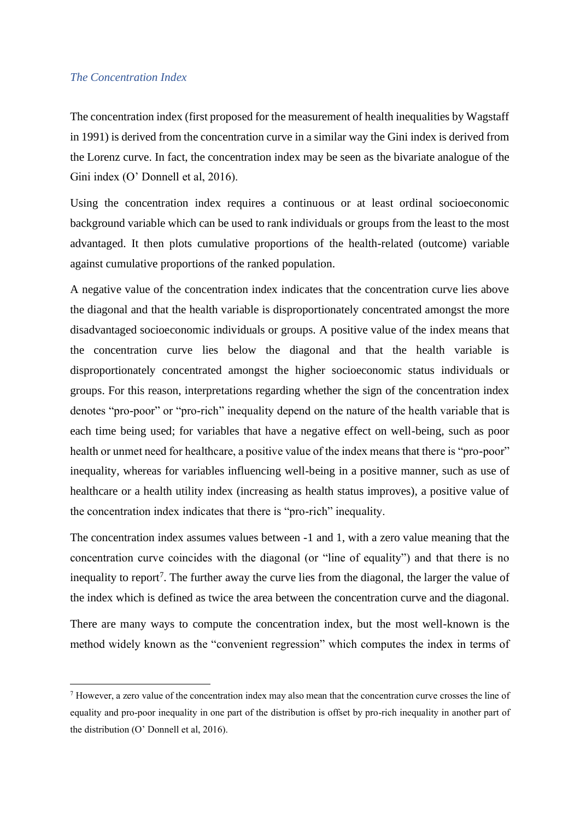#### *The Concentration Index*

The concentration index (first proposed for the measurement of health inequalities by Wagstaff in 1991) is derived from the concentration curve in a similar way the Gini index is derived from the Lorenz curve. In fact, the concentration index may be seen as the bivariate analogue of the Gini index (O' Donnell et al, 2016).

Using the concentration index requires a continuous or at least ordinal socioeconomic background variable which can be used to rank individuals or groups from the least to the most advantaged. It then plots cumulative proportions of the health-related (outcome) variable against cumulative proportions of the ranked population.

A negative value of the concentration index indicates that the concentration curve lies above the diagonal and that the health variable is disproportionately concentrated amongst the more disadvantaged socioeconomic individuals or groups. A positive value of the index means that the concentration curve lies below the diagonal and that the health variable is disproportionately concentrated amongst the higher socioeconomic status individuals or groups. For this reason, interpretations regarding whether the sign of the concentration index denotes "pro-poor" or "pro-rich" inequality depend on the nature of the health variable that is each time being used; for variables that have a negative effect on well-being, such as poor health or unmet need for healthcare, a positive value of the index means that there is "pro-poor" inequality, whereas for variables influencing well-being in a positive manner, such as use of healthcare or a health utility index (increasing as health status improves), a positive value of the concentration index indicates that there is "pro-rich" inequality.

The concentration index assumes values between -1 and 1, with a zero value meaning that the concentration curve coincides with the diagonal (or "line of equality") and that there is no inequality to report<sup>7</sup>. The further away the curve lies from the diagonal, the larger the value of the index which is defined as twice the area between the concentration curve and the diagonal.

There are many ways to compute the concentration index, but the most well-known is the method widely known as the "convenient regression" which computes the index in terms of

<sup>7</sup> However, a zero value of the concentration index may also mean that the concentration curve crosses the line of equality and pro-poor inequality in one part of the distribution is offset by pro-rich inequality in another part of the distribution (O' Donnell et al, 2016).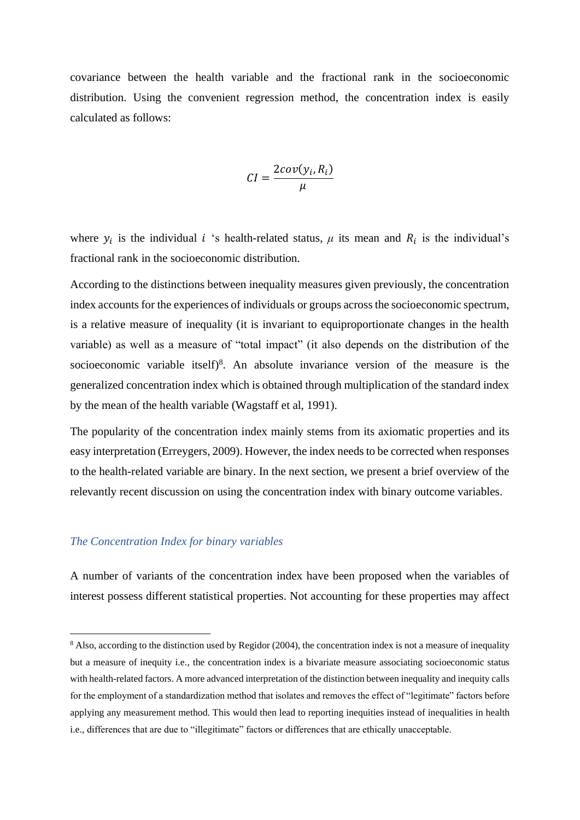covariance between the health variable and the fractional rank in the socioeconomic distribution. Using the convenient regression method, the concentration index is easily calculated as follows:

$$
CI = \frac{2cov(y_i, R_i)}{\mu}
$$

where  $y_i$  is the individual *i* 's health-related status,  $\mu$  its mean and  $R_i$  is the individual's fractional rank in the socioeconomic distribution.

According to the distinctions between inequality measures given previously, the concentration index accounts for the experiences of individuals or groups across the socioeconomic spectrum, is a relative measure of inequality (it is invariant to equiproportionate changes in the health variable) as well as a measure of "total impact" (it also depends on the distribution of the socioeconomic variable itself)<sup>8</sup>. An absolute invariance version of the measure is the generalized concentration index which is obtained through multiplication of the standard index by the mean of the health variable (Wagstaff et al, 1991).

The popularity of the concentration index mainly stems from its axiomatic properties and its easy interpretation (Erreygers, 2009). However, the index needs to be corrected when responses to the health-related variable are binary. In the next section, we present a brief overview of the relevantly recent discussion on using the concentration index with binary outcome variables.

#### *The Concentration Index for binary variables*

A number of variants of the concentration index have been proposed when the variables of interest possess different statistical properties. Not accounting for these properties may affect

<sup>&</sup>lt;sup>8</sup> Also, according to the distinction used by Regidor (2004), the concentration index is not a measure of inequality but a measure of inequity i.e., the concentration index is a bivariate measure associating socioeconomic status with health-related factors. A more advanced interpretation of the distinction between inequality and inequity calls for the employment of a standardization method that isolates and removes the effect of "legitimate" factors before applying any measurement method. This would then lead to reporting inequities instead of inequalities in health i.e., differences that are due to "illegitimate" factors or differences that are ethically unacceptable.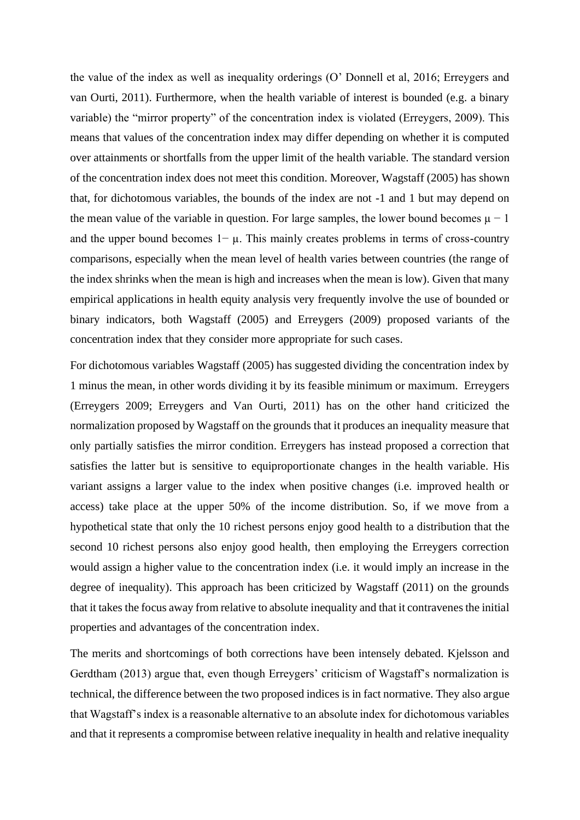the value of the index as well as inequality orderings (O' Donnell et al, 2016; Erreygers and van Ourti, 2011). Furthermore, when the health variable of interest is bounded (e.g. a binary variable) the "mirror property" of the concentration index is violated (Erreygers, 2009). This means that values of the concentration index may differ depending on whether it is computed over attainments or shortfalls from the upper limit of the health variable. The standard version of the concentration index does not meet this condition. Moreover, Wagstaff (2005) has shown that, for dichotomous variables, the bounds of the index are not -1 and 1 but may depend on the mean value of the variable in question. For large samples, the lower bound becomes  $\mu - 1$ and the upper bound becomes  $1-\mu$ . This mainly creates problems in terms of cross-country comparisons, especially when the mean level of health varies between countries (the range of the index shrinks when the mean is high and increases when the mean is low). Given that many empirical applications in health equity analysis very frequently involve the use of bounded or binary indicators, both Wagstaff (2005) and Erreygers (2009) proposed variants of the concentration index that they consider more appropriate for such cases.

For dichotomous variables Wagstaff (2005) has suggested dividing the concentration index by 1 minus the mean, in other words dividing it by its feasible minimum or maximum. Erreygers (Erreygers 2009; Erreygers and Van Ourti, 2011) has on the other hand criticized the normalization proposed by Wagstaff on the grounds that it produces an inequality measure that only partially satisfies the mirror condition. Erreygers has instead proposed a correction that satisfies the latter but is sensitive to equiproportionate changes in the health variable. His variant assigns a larger value to the index when positive changes (i.e. improved health or access) take place at the upper 50% of the income distribution. So, if we move from a hypothetical state that only the 10 richest persons enjoy good health to a distribution that the second 10 richest persons also enjoy good health, then employing the Erreygers correction would assign a higher value to the concentration index (i.e. it would imply an increase in the degree of inequality). This approach has been criticized by Wagstaff (2011) on the grounds that it takes the focus away from relative to absolute inequality and that it contravenes the initial properties and advantages of the concentration index.

The merits and shortcomings of both corrections have been intensely debated. Kjelsson and Gerdtham (2013) argue that, even though Erreygers' criticism of Wagstaff's normalization is technical, the difference between the two proposed indices is in fact normative. They also argue that Wagstaff's index is a reasonable alternative to an absolute index for dichotomous variables and that it represents a compromise between relative inequality in health and relative inequality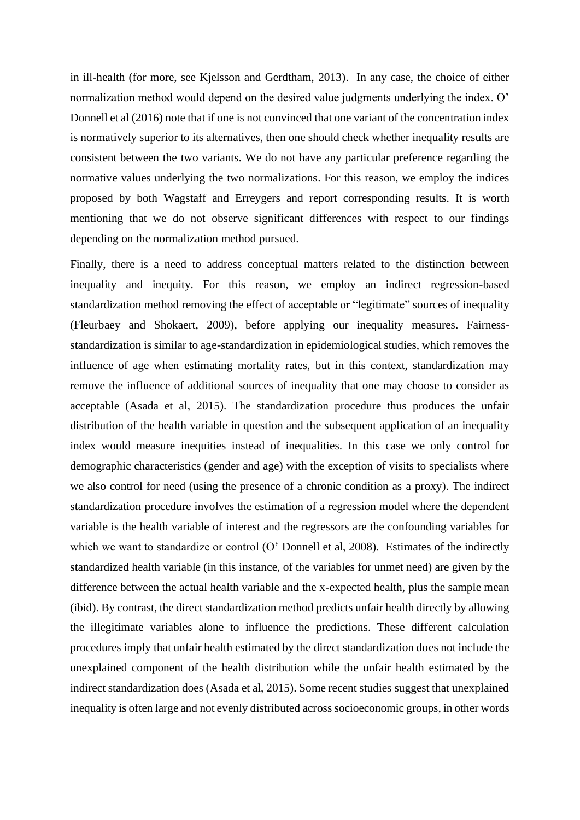in ill-health (for more, see Kjelsson and Gerdtham, 2013). In any case, the choice of either normalization method would depend on the desired value judgments underlying the index. O' Donnell et al (2016) note that if one is not convinced that one variant of the concentration index is normatively superior to its alternatives, then one should check whether inequality results are consistent between the two variants. We do not have any particular preference regarding the normative values underlying the two normalizations. For this reason, we employ the indices proposed by both Wagstaff and Erreygers and report corresponding results. It is worth mentioning that we do not observe significant differences with respect to our findings depending on the normalization method pursued.

Finally, there is a need to address conceptual matters related to the distinction between inequality and inequity. For this reason, we employ an indirect regression-based standardization method removing the effect of acceptable or "legitimate" sources of inequality (Fleurbaey and Shokaert, 2009), before applying our inequality measures. Fairnessstandardization is similar to age-standardization in epidemiological studies, which removes the influence of age when estimating mortality rates, but in this context, standardization may remove the influence of additional sources of inequality that one may choose to consider as acceptable (Asada et al, 2015). The standardization procedure thus produces the unfair distribution of the health variable in question and the subsequent application of an inequality index would measure inequities instead of inequalities. In this case we only control for demographic characteristics (gender and age) with the exception of visits to specialists where we also control for need (using the presence of a chronic condition as a proxy). The indirect standardization procedure involves the estimation of a regression model where the dependent variable is the health variable of interest and the regressors are the confounding variables for which we want to standardize or control (O' Donnell et al, 2008). Estimates of the indirectly standardized health variable (in this instance, of the variables for unmet need) are given by the difference between the actual health variable and the x-expected health, plus the sample mean (ibid). By contrast, the direct standardization method predicts unfair health directly by allowing the illegitimate variables alone to influence the predictions. These different calculation procedures imply that unfair health estimated by the direct standardization does not include the unexplained component of the health distribution while the unfair health estimated by the indirect standardization does (Asada et al, 2015). Some recent studies suggest that unexplained inequality is often large and not evenly distributed across socioeconomic groups, in other words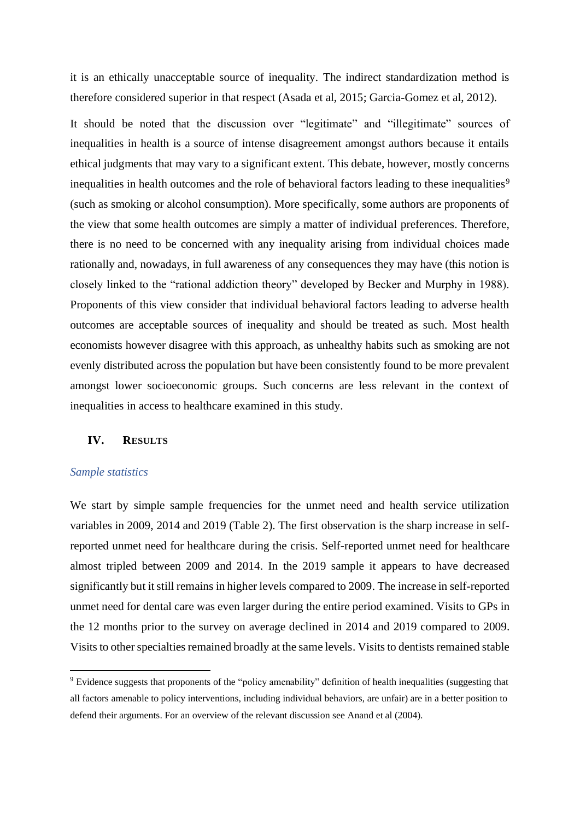it is an ethically unacceptable source of inequality. The indirect standardization method is therefore considered superior in that respect (Asada et al, 2015; Garcia-Gomez et al, 2012).

It should be noted that the discussion over "legitimate" and "illegitimate" sources of inequalities in health is a source of intense disagreement amongst authors because it entails ethical judgments that may vary to a significant extent. This debate, however, mostly concerns inequalities in health outcomes and the role of behavioral factors leading to these inequalities<sup>9</sup> (such as smoking or alcohol consumption). More specifically, some authors are proponents of the view that some health outcomes are simply a matter of individual preferences. Therefore, there is no need to be concerned with any inequality arising from individual choices made rationally and, nowadays, in full awareness of any consequences they may have (this notion is closely linked to the "rational addiction theory" developed by Becker and Murphy in 1988). Proponents of this view consider that individual behavioral factors leading to adverse health outcomes are acceptable sources of inequality and should be treated as such. Most health economists however disagree with this approach, as unhealthy habits such as smoking are not evenly distributed across the population but have been consistently found to be more prevalent amongst lower socioeconomic groups. Such concerns are less relevant in the context of inequalities in access to healthcare examined in this study.

#### **IV. RESULTS**

#### *Sample statistics*

We start by simple sample frequencies for the unmet need and health service utilization variables in 2009, 2014 and 2019 (Table 2). The first observation is the sharp increase in selfreported unmet need for healthcare during the crisis. Self-reported unmet need for healthcare almost tripled between 2009 and 2014. In the 2019 sample it appears to have decreased significantly but it still remains in higher levels compared to 2009. The increase in self-reported unmet need for dental care was even larger during the entire period examined. Visits to GPs in the 12 months prior to the survey on average declined in 2014 and 2019 compared to 2009. Visits to other specialties remained broadly at the same levels. Visits to dentists remained stable

<sup>9</sup> Evidence suggests that proponents of the "policy amenability" definition of health inequalities (suggesting that all factors amenable to policy interventions, including individual behaviors, are unfair) are in a better position to defend their arguments. For an overview of the relevant discussion see Anand et al (2004).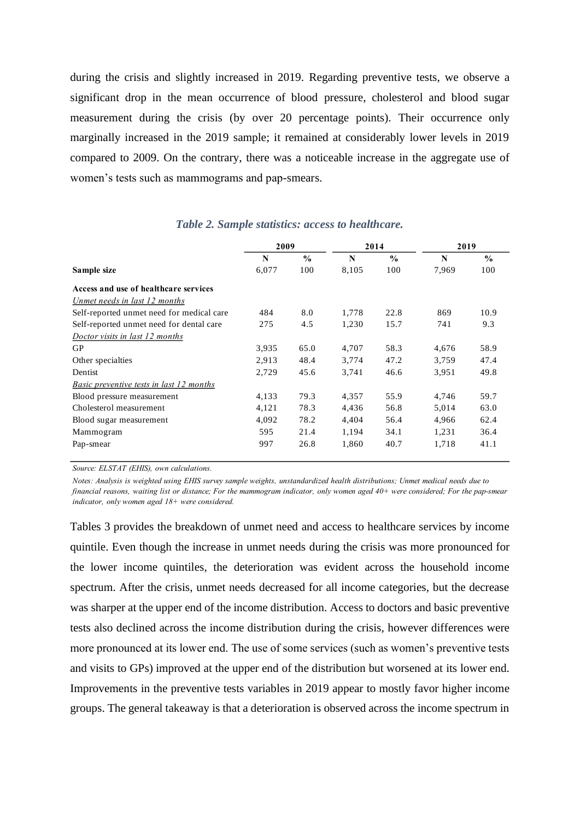during the crisis and slightly increased in 2019. Regarding preventive tests, we observe a significant drop in the mean occurrence of blood pressure, cholesterol and blood sugar measurement during the crisis (by over 20 percentage points). Their occurrence only marginally increased in the 2019 sample; it remained at considerably lower levels in 2019 compared to 2009. On the contrary, there was a noticeable increase in the aggregate use of women's tests such as mammograms and pap-smears.

|                                                 | 2009  |               |       | 2014          | 2019  |               |  |
|-------------------------------------------------|-------|---------------|-------|---------------|-------|---------------|--|
|                                                 | N     | $\frac{0}{0}$ | N     | $\frac{0}{0}$ | N     | $\frac{0}{0}$ |  |
| Sample size                                     | 6,077 | 100           | 8,105 | 100           | 7,969 | 100           |  |
| Access and use of healthcare services           |       |               |       |               |       |               |  |
| Unmet needs in last 12 months                   |       |               |       |               |       |               |  |
| Self-reported unmet need for medical care       | 484   | 8.0           | 1,778 | 22.8          | 869   | 10.9          |  |
| Self-reported unmet need for dental care        | 275   | 4.5           | 1,230 | 15.7          | 741   | 9.3           |  |
| Doctor visits in last 12 months                 |       |               |       |               |       |               |  |
| GP                                              | 3,935 | 65.0          | 4,707 | 58.3          | 4,676 | 58.9          |  |
| Other specialties                               | 2,913 | 48.4          | 3,774 | 47.2          | 3,759 | 47.4          |  |
| Dentist                                         | 2,729 | 45.6          | 3,741 | 46.6          | 3,951 | 49.8          |  |
| <b>Basic preventive tests in last 12 months</b> |       |               |       |               |       |               |  |
| Blood pressure measurement                      | 4,133 | 79.3          | 4,357 | 55.9          | 4,746 | 59.7          |  |
| Cholesterol measurement                         | 4,121 | 78.3          | 4,436 | 56.8          | 5,014 | 63.0          |  |
| Blood sugar measurement                         | 4,092 | 78.2          | 4,404 | 56.4          | 4,966 | 62.4          |  |
| Mammogram                                       | 595   | 21.4          | 1,194 | 34.1          | 1,231 | 36.4          |  |
| Pap-smear                                       | 997   | 26.8          | 1,860 | 40.7          | 1,718 | 41.1          |  |

## *Table 2. Sample statistics: access to healthcare.*

*Source: ELSTAT (EHIS), own calculations.*

Notes: Analysis is weighted using EHIS survey sample weights, unstandardized health distributions; Unmet medical needs due to financial reasons, waiting list or distance; For the mammogram indicator, only women aged  $40+$  were considered; For the pap-smear *indicator, only women aged 18+ were considered.*

Tables 3 provides the breakdown of unmet need and access to healthcare services by income quintile. Even though the increase in unmet needs during the crisis was more pronounced for the lower income quintiles, the deterioration was evident across the household income spectrum. After the crisis, unmet needs decreased for all income categories, but the decrease was sharper at the upper end of the income distribution. Access to doctors and basic preventive tests also declined across the income distribution during the crisis, however differences were more pronounced at its lower end. The use of some services (such as women's preventive tests and visits to GPs) improved at the upper end of the distribution but worsened at its lower end. Improvements in the preventive tests variables in 2019 appear to mostly favor higher income groups. The general takeaway is that a deterioration is observed across the income spectrum in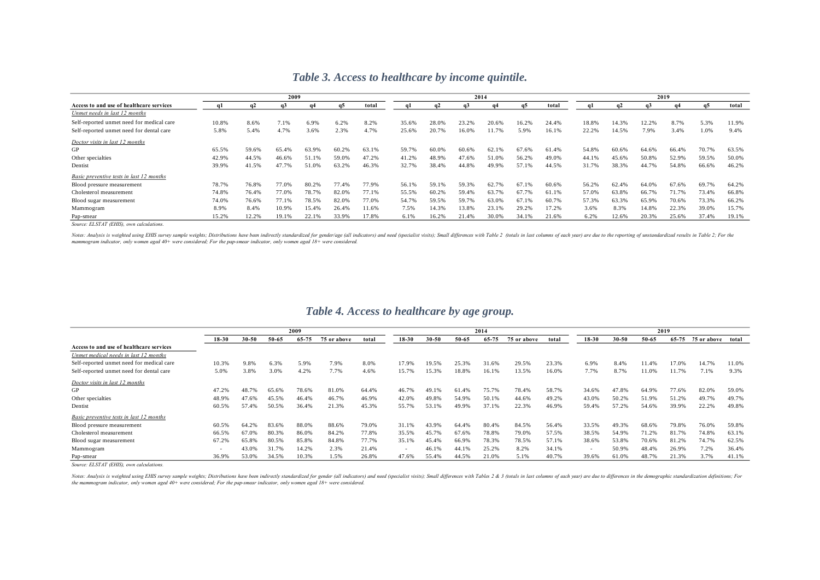|                                           |       |       | 2009  |       |       |       |       |           | 2014  |       |           |       |       |       |       | 2019  |       |       |
|-------------------------------------------|-------|-------|-------|-------|-------|-------|-------|-----------|-------|-------|-----------|-------|-------|-------|-------|-------|-------|-------|
| Access to and use of healthcare services  | αl    |       | a3    |       | -a5   | total |       | <b>a2</b> | a3    | a4    | <b>a5</b> | total |       |       | a3    |       |       | total |
| Unmet needs in last 12 months             |       |       |       |       |       |       |       |           |       |       |           |       |       |       |       |       |       |       |
| Self-reported unmet need for medical care | 10.8% | 8.6%  | 7.1%  | 6.9%  | 6.2%  | 8.2%  | 35.6% | 28.0%     | 23.2% | 20.6% | 16.2%     | 24.4% | 18.8% | 14.3% | 12.2% | 8.7%  | 5.3%  | 11.9% |
| Self-reported unmet need for dental care  | 5.8%  | 5.4%  | 4.7%  | 3.6%  | 2.3%  | 4.7%  | 25.6% | 20.7%     | 16.0% | 11.7% | 5.9%      | 16.1% | 22.2% | 14.5% | 7.9%  | 3.4%  | 1.0%  | 9.4%  |
| Doctor visits in last 12 months           |       |       |       |       |       |       |       |           |       |       |           |       |       |       |       |       |       |       |
| GP                                        | 65.5% | 59.6% | 65.4% | 63.9% | 60.2% | 63.1% | 59.7% | 60.0%     | 60.6% | 62.1% | 67.6%     | 61.4% | 54.8% | 60.6% | 64.6% | 66.4% | 70.7% | 63.5% |
| Other specialties                         | 42.9% | 44.5% | 46.6% | 51.1% | 59.0% | 47.2% | 41.2% | 48.9%     | 47.6% | 51.0% | 56.2%     | 49.0% | 44.1% | 45.6% | 50.8% | 52.9% | 59.5% | 50.0% |
| Dentist                                   | 39.9% | 41.5% | 47.7% | 51.0% | 63.2% | 46.3% | 32.7% | 38.4%     | 44.8% | 49.9% | 57.1%     | 44.5% | 31.7% | 38.3% | 44.7% | 54.8% | 66.6% | 46.2% |
| Basic preventive tests in last 12 months  |       |       |       |       |       |       |       |           |       |       |           |       |       |       |       |       |       |       |
| Blood pressure measurement                | 78.7% | 76.8% | 77.0% | 80.2% | 77.4% | 77.9% | 56.1% | 59.1%     | 59.3% | 62.7% | 67.1%     | 60.6% | 56.2% | 62.4% | 64.0% | 67.6% | 69.7% | 64.2% |
| Cholesterol measurement                   | 74.8% | 76.4% | 77.0% | 78.7% | 82.0% | 77.1% | 55.5% | 60.2%     | 59.4% | 63.7% | 67.7%     | 61.1% | 57.0% | 63.8% | 66.7% | 71.7% | 73.4% | 66.8% |
| Blood sugar measurement                   | 74.0% | 76.6% | 77.1% | 78.5% | 82.0% | 77.0% | 54.7% | 59.5%     | 59.7% | 63.0% | 67.1%     | 60.7% | 57.3% | 63.3% | 65.9% | 70.6% | 73.3% | 66.2% |
| Mammogram                                 | 8.9%  | 8.4%  | 10.9% | 15.4% | 26.4% | 11.6% | 7.5%  | 14.3%     | 13.8% | 23.1% | 29.2%     | 17.2% | 3.6%  | 8.3%  | 14.8% | 22.3% | 39.0% | 15.7% |
| Pap-smear                                 | 15.2% | 12.2% | 19.1% | 22.1% | 33.9% | 17.8% | 6.1%  | 16.2%     | 21.4% | 30.0% | 34.1%     | 21.6% | 6.2%  | 12.6% | 20.3% | 25.6% | 37.4% | 19.1% |

### *Table 3. Access to healthcare by income quintile.*

*Source: ELSTAT (EHIS), own calculations.*

Notes: Analysis is weighted using EHIS survey sample weights; Distributions have been indirectly standardized for gender/age (all indicators) and need (specialist visits); Small differences with Table 2 (totals in last col mammogram indicator, only women aged 40+ were considered; For the pap-smear indicator, only women aged 18+ were considered.

## *Table 4. Access to healthcare by age group.*

|                                           |           |           |       | 2009  |             |       |        |           |       | 2014      |             |       |           |           |           | 2019  |             |       |
|-------------------------------------------|-----------|-----------|-------|-------|-------------|-------|--------|-----------|-------|-----------|-------------|-------|-----------|-----------|-----------|-------|-------------|-------|
|                                           | $18 - 30$ | $30 - 50$ | 50-65 | 65-75 | 75 or above | total | 18-30  | $30 - 50$ | 50-65 | $65 - 75$ | 75 or above | total | $18 - 30$ | $30 - 50$ | $50 - 65$ | 65-75 | 75 or above | total |
| Access to and use of healthcare services  |           |           |       |       |             |       |        |           |       |           |             |       |           |           |           |       |             |       |
| Unmet medical needs in last 12 months     |           |           |       |       |             |       |        |           |       |           |             |       |           |           |           |       |             |       |
| Self-reported unmet need for medical care | 10.3%     | 9.8%      | 6.3%  | 5.9%  | 7.9%        | 8.0%  | 17.9%  | 19.5%     | 25.3% | 31.6%     | 29.5%       | 23.3% | 6.9%      | 8.4%      | 11.4%     | 7.0%  | 14.7%       | 11.0% |
| Self-reported unmet need for dental care  | 5.0%      | 3.8%      | 3.0%  | 4.2%  | 7.7%        | 4.6%  | 15.7%  | 15.3%     | 18.8% | 16.1%     | 13.5%       | 16.0% | 7.7%      | 8.7%      | 11.0%     | 11.7% | 7.1%        | 9.3%  |
| Doctor visits in last 12 months           |           |           |       |       |             |       |        |           |       |           |             |       |           |           |           |       |             |       |
| GP                                        | 47.2%     | 48.7%     | 65.6% | 78.6% | 81.0%       | 64.4% | 46.7%  | 49.1%     | 61.4% | 75.7%     | 78.4%       | 58.7% | 34.6%     | 47.8%     | 64.9%     | 77.6% | 82.0%       | 59.0% |
| Other specialties                         | 48.9%     | 47.6%     | 45.5% | 46.4% | 46.7%       | 46.9% | 42.0%  | 49.8%     | 54.9% | 50.1%     | 44.6%       | 49.2% | 43.0%     | 50.2%     | 51.9%     | 51.2% | 49.7%       | 49.7% |
| Dentist                                   | 60.5%     | 57.4%     | 50.5% | 36.4% | 21.3%       | 45.3% | 55.7%  | 53.1%     | 49.9% | 37.1%     | 22.3%       | 46.9% | 59.4%     | 57.2%     | 54.6%     | 39.9% | 22.2%       | 49.8% |
| Basic preventive tests in last 12 months  |           |           |       |       |             |       |        |           |       |           |             |       |           |           |           |       |             |       |
| Blood pressure measurement                | 60.5%     | 64.2%     | 83.6% | 88.0% | 88.6%       | 79.0% | 31.1%  | 43.9%     | 64.4% | 80.4%     | 84.5%       | 56.4% | 33.5%     | 49.3%     | 68.6%     | 79.8% | 76.0%       | 59.8% |
| Cholesterol measurement                   | 66.5%     | 67.0%     | 80.3% | 86.0% | 84.2%       | 77.8% | 35.5%  | 45.7%     | 67.6% | 78.8%     | 79.0%       | 57.5% | 38.5%     | 54.9%     | 71.2%     | 81.7% | 74.8%       | 63.1% |
| Blood sugar measurement                   | 67.2%     | 65.8%     | 80.5% | 85.8% | 84.8%       | 77.7% | 35.1%  | 45.4%     | 66.9% | 78.3%     | 78.5%       | 57.1% | 38.6%     | 53.8%     | 70.6%     | 81.2% | 74.7%       | 62.5% |
| Mammogram                                 |           | 43.0%     | 31.7% | 14.2% | 2.3%        | 21.4% | $\sim$ | 46.1%     | 44.1% | 25.2%     | 8.2%        | 34.1% | $\sim$    | 50.9%     | 48.4%     | 26.9% | 7.2%        | 36.4% |
| Pap-smear                                 | 36.9%     | 53.0%     | 34.5% | 10.3% | 1.5%        | 26.8% | 47.6%  | 55.4%     | 44.5% | 21.0%     | 5.1%        | 40.7% | 39.6%     | 61.0%     | 48.7%     | 21.3% | 3.7%        | 41.1% |

*Source: ELSTAT (EHIS), own calculations.*

Notes: Analysis is weighted using EHIS survey sample weights; Distributions have been indirectly standardized for gender (all indicators) and need (specialist visits); Small differences with Tables 2 & 3 (totals in last co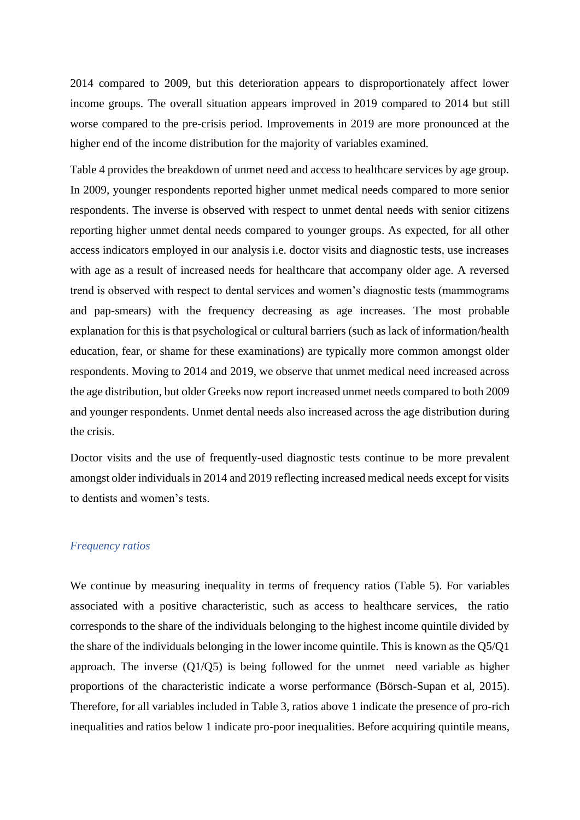2014 compared to 2009, but this deterioration appears to disproportionately affect lower income groups. The overall situation appears improved in 2019 compared to 2014 but still worse compared to the pre-crisis period. Improvements in 2019 are more pronounced at the higher end of the income distribution for the majority of variables examined.

Table 4 provides the breakdown of unmet need and access to healthcare services by age group. In 2009, younger respondents reported higher unmet medical needs compared to more senior respondents. The inverse is observed with respect to unmet dental needs with senior citizens reporting higher unmet dental needs compared to younger groups. As expected, for all other access indicators employed in our analysis i.e. doctor visits and diagnostic tests, use increases with age as a result of increased needs for healthcare that accompany older age. A reversed trend is observed with respect to dental services and women's diagnostic tests (mammograms and pap-smears) with the frequency decreasing as age increases. The most probable explanation for this is that psychological or cultural barriers (such as lack of information/health education, fear, or shame for these examinations) are typically more common amongst older respondents. Moving to 2014 and 2019, we observe that unmet medical need increased across the age distribution, but older Greeks now report increased unmet needs compared to both 2009 and younger respondents. Unmet dental needs also increased across the age distribution during the crisis.

Doctor visits and the use of frequently-used diagnostic tests continue to be more prevalent amongst older individuals in 2014 and 2019 reflecting increased medical needs except for visits to dentists and women's tests.

#### *Frequency ratios*

We continue by measuring inequality in terms of frequency ratios (Table 5). For variables associated with a positive characteristic, such as access to healthcare services, the ratio corresponds to the share of the individuals belonging to the highest income quintile divided by the share of the individuals belonging in the lower income quintile. This is known as the Q5/Q1 approach. The inverse (Q1/Q5) is being followed for the unmet need variable as higher proportions of the characteristic indicate a worse performance (Börsch-Supan et al, 2015). Therefore, for all variables included in Table 3, ratios above 1 indicate the presence of pro-rich inequalities and ratios below 1 indicate pro-poor inequalities. Before acquiring quintile means,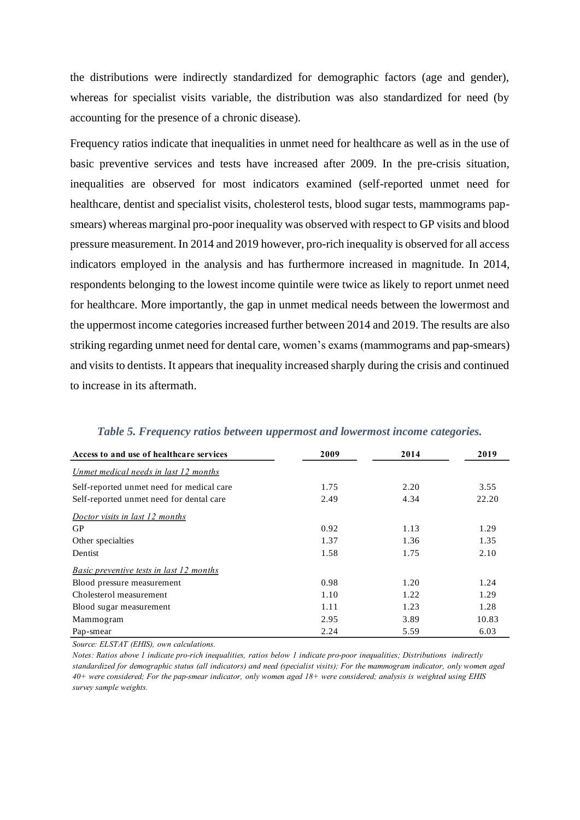the distributions were indirectly standardized for demographic factors (age and gender), whereas for specialist visits variable, the distribution was also standardized for need (by accounting for the presence of a chronic disease).

Frequency ratios indicate that inequalities in unmet need for healthcare as well as in the use of basic preventive services and tests have increased after 2009. In the pre-crisis situation, inequalities are observed for most indicators examined (self-reported unmet need for healthcare, dentist and specialist visits, cholesterol tests, blood sugar tests, mammograms papsmears) whereas marginal pro-poor inequality was observed with respect to GP visits and blood pressure measurement. In 2014 and 2019 however, pro-rich inequality is observed for all access indicators employed in the analysis and has furthermore increased in magnitude. In 2014, respondents belonging to the lowest income quintile were twice as likely to report unmet need for healthcare. More importantly, the gap in unmet medical needs between the lowermost and the uppermost income categories increased further between 2014 and 2019. The results are also striking regarding unmet need for dental care, women's exams (mammograms and pap-smears) and visits to dentists. It appears that inequality increased sharply during the crisis and continued to increase in its aftermath.

| Access to and use of healthcare services  | 2009 | 2014 | 2019  |
|-------------------------------------------|------|------|-------|
| Unmet medical needs in last 12 months     |      |      |       |
| Self-reported unmet need for medical care | 1.75 | 2.20 | 3.55  |
| Self-reported unmet need for dental care  | 2.49 | 4.34 | 22.20 |
| Doctor visits in last 12 months           |      |      |       |
| <b>GP</b>                                 | 0.92 | 1.13 | 1.29  |
| Other specialties                         | 1.37 | 1.36 | 1.35  |
| Dentist                                   | 1.58 | 1.75 | 2.10  |
| Basic preventive tests in last 12 months  |      |      |       |
| Blood pressure measurement                | 0.98 | 1.20 | 1.24  |
| Cholesterol measurement                   | 1.10 | 1.22 | 1.29  |
| Blood sugar measurement                   | 1.11 | 1.23 | 1.28  |
| Mammogram                                 | 2.95 | 3.89 | 10.83 |
| Pap-smear                                 | 2.24 | 5.59 | 6.03  |

*Table 5. Frequency ratios between uppermost and lowermost income categories.*

*Source: ELSTAT (EHIS), own calculations.*

Notes: Ratios above 1 indicate pro-rich inequalities, ratios below 1 indicate pro-poor inequalities; Distributions indirectly standardized for demographic status (all indicators) and need (specialist visits); For the mammogram indicator, only women aged 40+ were considered; For the pap-smear indicator, only women aged 18+ were considered; analysis is weighted using EHIS *survey sample weights.*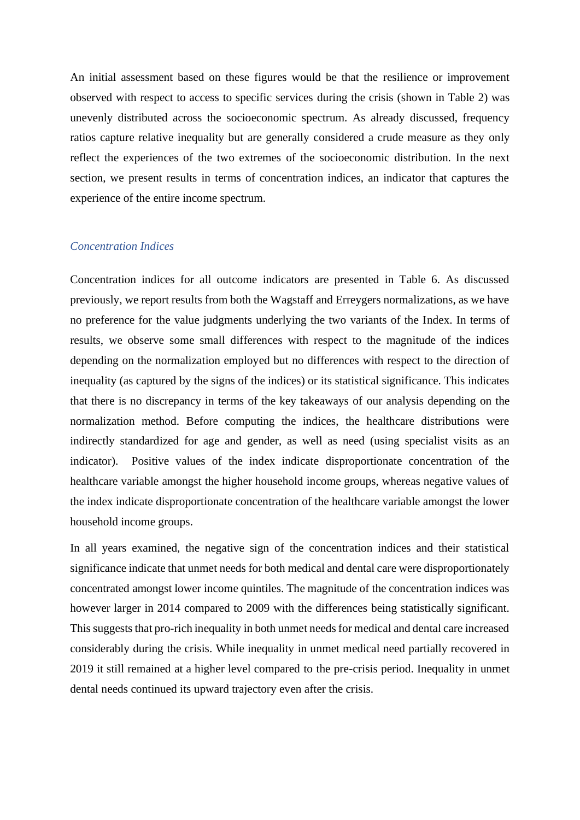An initial assessment based on these figures would be that the resilience or improvement observed with respect to access to specific services during the crisis (shown in Table 2) was unevenly distributed across the socioeconomic spectrum. As already discussed, frequency ratios capture relative inequality but are generally considered a crude measure as they only reflect the experiences of the two extremes of the socioeconomic distribution. In the next section, we present results in terms of concentration indices, an indicator that captures the experience of the entire income spectrum.

#### *Concentration Indices*

Concentration indices for all outcome indicators are presented in Table 6. As discussed previously, we report results from both the Wagstaff and Erreygers normalizations, as we have no preference for the value judgments underlying the two variants of the Index. In terms of results, we observe some small differences with respect to the magnitude of the indices depending on the normalization employed but no differences with respect to the direction of inequality (as captured by the signs of the indices) or its statistical significance. This indicates that there is no discrepancy in terms of the key takeaways of our analysis depending on the normalization method. Before computing the indices, the healthcare distributions were indirectly standardized for age and gender, as well as need (using specialist visits as an indicator). Positive values of the index indicate disproportionate concentration of the healthcare variable amongst the higher household income groups, whereas negative values of the index indicate disproportionate concentration of the healthcare variable amongst the lower household income groups.

In all years examined, the negative sign of the concentration indices and their statistical significance indicate that unmet needs for both medical and dental care were disproportionately concentrated amongst lower income quintiles. The magnitude of the concentration indices was however larger in 2014 compared to 2009 with the differences being statistically significant. This suggests that pro-rich inequality in both unmet needs for medical and dental care increased considerably during the crisis. While inequality in unmet medical need partially recovered in 2019 it still remained at a higher level compared to the pre-crisis period. Inequality in unmet dental needs continued its upward trajectory even after the crisis.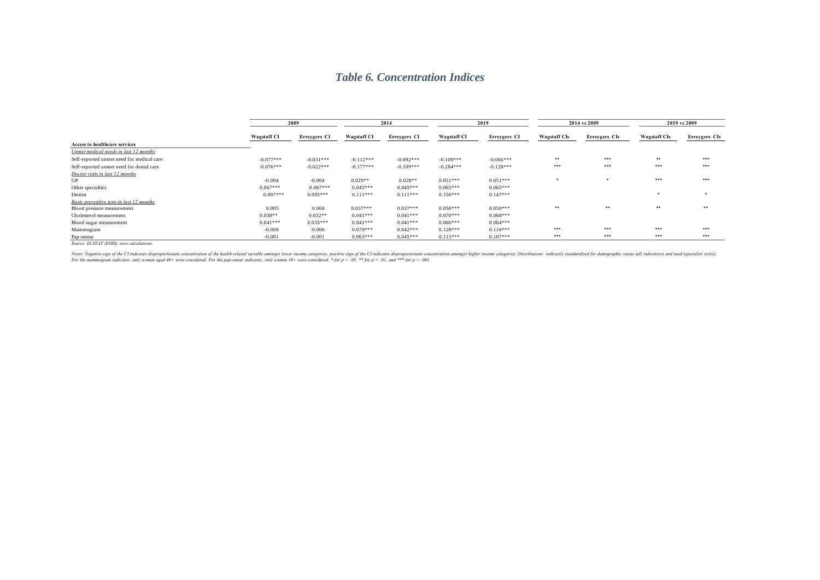## *Table 6. Concentration Indices*

|                                           |                    | 2009         |                    | 2014         |                    | 2019         |                     | 2014 vs 2009  | 2019 vs 2009        |               |
|-------------------------------------------|--------------------|--------------|--------------------|--------------|--------------------|--------------|---------------------|---------------|---------------------|---------------|
|                                           | <b>Wagstaff CI</b> | Erreygers CI | <b>Wagstaff CI</b> | Erreygers CI | <b>Wagstaff CI</b> | Erreygers CI | <b>Wagstaff CIs</b> | Erreygers CIs | <b>Wagstaff CIs</b> | Erreygers CIs |
| <b>Access to healthcare services</b>      |                    |              |                    |              |                    |              |                     |               |                     |               |
| Unmet medical needs in last 12 months     |                    |              |                    |              |                    |              |                     |               |                     |               |
| Self-reported unmet need for medical care | $-0.077***$        | $-0.031***$  | $-0.112***$        | $-0.092***$  | $-0.109***$        | $-0.066***$  | **                  | ***           | **                  | ***           |
| Self-reported unmet need for dental care  | $-0.076***$        | $-0.022***$  | $-0.177***$        | $-0.109***$  | $-0.284***$        | $-0.128***$  | ***                 | ***           | ***                 | ***           |
| Doctor visits in last 12 months           |                    |              |                    |              |                    |              |                     |               |                     |               |
| GP                                        | $-0.004$           | $-0.004$     | $0.029**$          | $0.028**$    | $0.051***$         | $0.051***$   |                     | *             | ***                 | ***           |
| Other specialties                         | $0.067***$         | $0.067***$   | $0.045***$         | $0.045***$   | $0.065***$         | $0.065***$   |                     |               |                     |               |
| Dentist                                   | $0.097***$         | $0.095***$   | $0.111***$         | $0.111***$   | $0.150***$         | $0.147***$   |                     |               |                     | *             |
| Basic preventive tests in last 12 months  |                    |              |                    |              |                    |              |                     |               |                     |               |
| Blood pressure measurement                | 0.005              | 0.004        | $0.037***$         | $0.037***$   | $0.050***$         | $0.050***$   | **                  | **            | **                  | **            |
| Cholesterol measurement                   | $0.038**$          | $0.032**$    | $0.041***$         | $0.041***$   | $0.070***$         | $0.068***$   |                     |               |                     |               |
| Blood sugar measurement                   | $0.041***$         | $0.035***$   | $0.041***$         | $0.041***$   | $0.066***$         | $0.064***$   |                     |               |                     |               |
| Mammogram                                 | $-0.009$           | $-0.006$     | $0.079***$         | $0.042***$   | $0.128***$         | $0.116***$   | ***                 | ***           | ***                 | ***           |
| Pap-smear                                 | $-0.001$           | $-0.001$     | $0.063***$         | $0.045***$   | $0.113***$         | $0.107***$   | ***                 | ***           | ***                 | ***           |

*Source: ELSTAT (EHIS), own calculations.*

Notes: Negative sign of the CI indicates disproportionate concentration of the health-related variable amongst lower income categories, positive sign of the CI indicates disproportionate concentration amongst higher income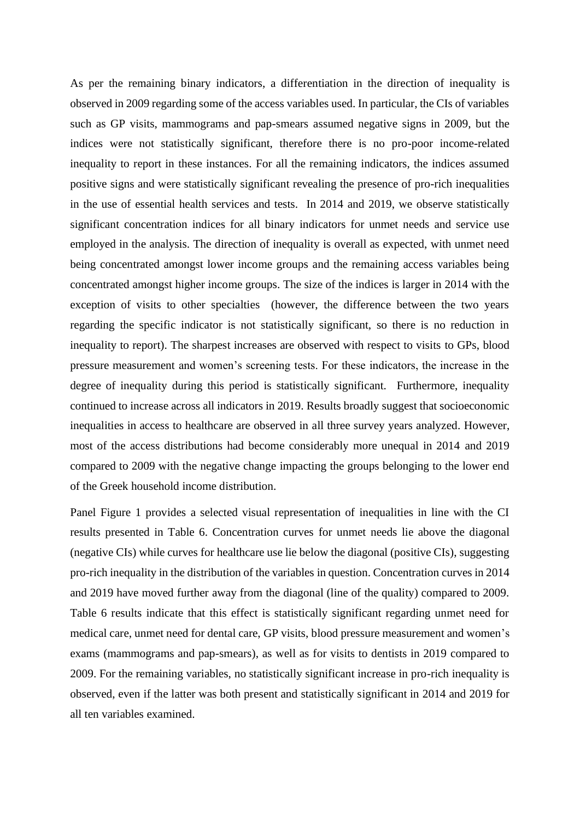As per the remaining binary indicators, a differentiation in the direction of inequality is observed in 2009 regarding some of the access variables used. In particular, the CIs of variables such as GP visits, mammograms and pap-smears assumed negative signs in 2009, but the indices were not statistically significant, therefore there is no pro-poor income-related inequality to report in these instances. For all the remaining indicators, the indices assumed positive signs and were statistically significant revealing the presence of pro-rich inequalities in the use of essential health services and tests. In 2014 and 2019, we observe statistically significant concentration indices for all binary indicators for unmet needs and service use employed in the analysis. The direction of inequality is overall as expected, with unmet need being concentrated amongst lower income groups and the remaining access variables being concentrated amongst higher income groups. The size of the indices is larger in 2014 with the exception of visits to other specialties (however, the difference between the two years regarding the specific indicator is not statistically significant, so there is no reduction in inequality to report). The sharpest increases are observed with respect to visits to GPs, blood pressure measurement and women's screening tests. For these indicators, the increase in the degree of inequality during this period is statistically significant. Furthermore, inequality continued to increase across all indicators in 2019. Results broadly suggest that socioeconomic inequalities in access to healthcare are observed in all three survey years analyzed. However, most of the access distributions had become considerably more unequal in 2014 and 2019 compared to 2009 with the negative change impacting the groups belonging to the lower end of the Greek household income distribution.

Panel Figure 1 provides a selected visual representation of inequalities in line with the CI results presented in Table 6. Concentration curves for unmet needs lie above the diagonal (negative CIs) while curves for healthcare use lie below the diagonal (positive CIs), suggesting pro-rich inequality in the distribution of the variables in question. Concentration curves in 2014 and 2019 have moved further away from the diagonal (line of the quality) compared to 2009. Table 6 results indicate that this effect is statistically significant regarding unmet need for medical care, unmet need for dental care, GP visits, blood pressure measurement and women's exams (mammograms and pap-smears), as well as for visits to dentists in 2019 compared to 2009. For the remaining variables, no statistically significant increase in pro-rich inequality is observed, even if the latter was both present and statistically significant in 2014 and 2019 for all ten variables examined.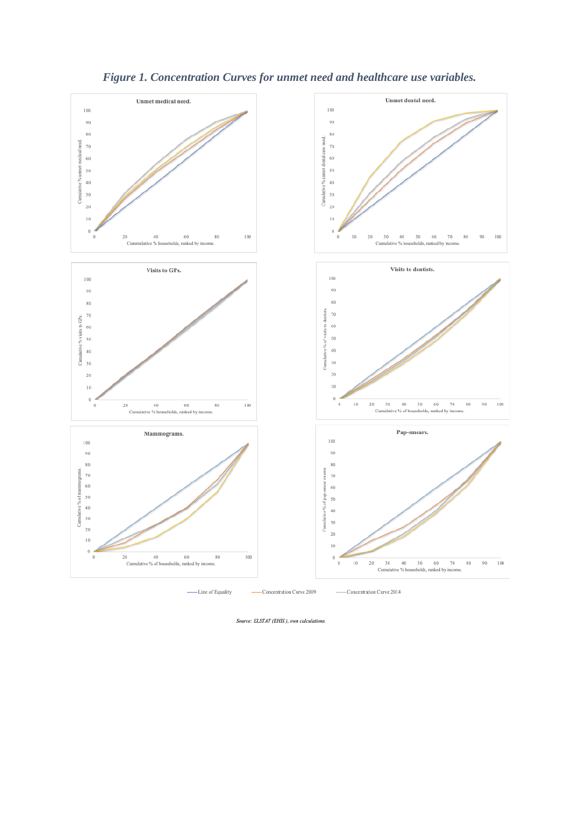

# *Figure 1. Concentration Curves for unmet need and healthcare use variables.*

Source: ELSTAT (EHIS), own calculations.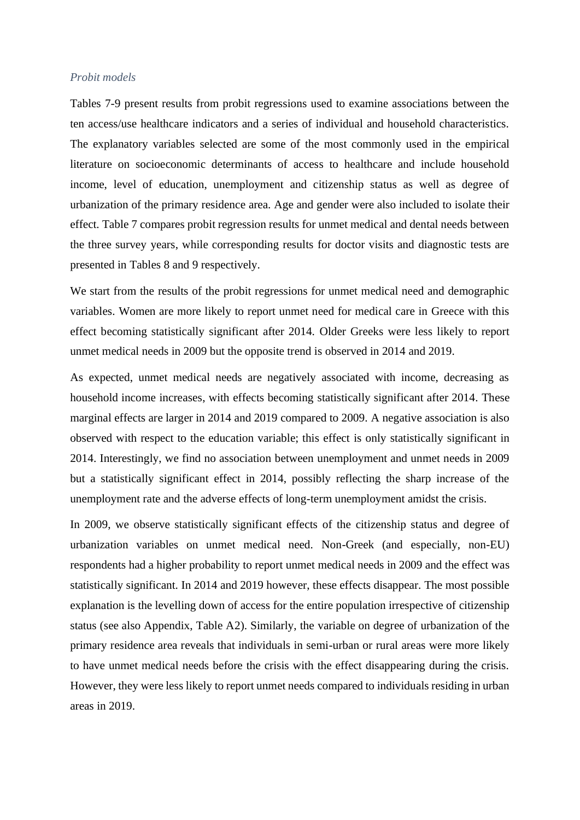#### *Probit models*

Tables 7-9 present results from probit regressions used to examine associations between the ten access/use healthcare indicators and a series of individual and household characteristics. The explanatory variables selected are some of the most commonly used in the empirical literature on socioeconomic determinants of access to healthcare and include household income, level of education, unemployment and citizenship status as well as degree of urbanization of the primary residence area. Age and gender were also included to isolate their effect. Table 7 compares probit regression results for unmet medical and dental needs between the three survey years, while corresponding results for doctor visits and diagnostic tests are presented in Tables 8 and 9 respectively.

We start from the results of the probit regressions for unmet medical need and demographic variables. Women are more likely to report unmet need for medical care in Greece with this effect becoming statistically significant after 2014. Older Greeks were less likely to report unmet medical needs in 2009 but the opposite trend is observed in 2014 and 2019.

As expected, unmet medical needs are negatively associated with income, decreasing as household income increases, with effects becoming statistically significant after 2014. These marginal effects are larger in 2014 and 2019 compared to 2009. A negative association is also observed with respect to the education variable; this effect is only statistically significant in 2014. Interestingly, we find no association between unemployment and unmet needs in 2009 but a statistically significant effect in 2014, possibly reflecting the sharp increase of the unemployment rate and the adverse effects of long-term unemployment amidst the crisis.

In 2009, we observe statistically significant effects of the citizenship status and degree of urbanization variables on unmet medical need. Non-Greek (and especially, non-EU) respondents had a higher probability to report unmet medical needs in 2009 and the effect was statistically significant. In 2014 and 2019 however, these effects disappear. The most possible explanation is the levelling down of access for the entire population irrespective of citizenship status (see also Appendix, Table A2). Similarly, the variable on degree of urbanization of the primary residence area reveals that individuals in semi-urban or rural areas were more likely to have unmet medical needs before the crisis with the effect disappearing during the crisis. However, they were less likely to report unmet needs compared to individuals residing in urban areas in 2019.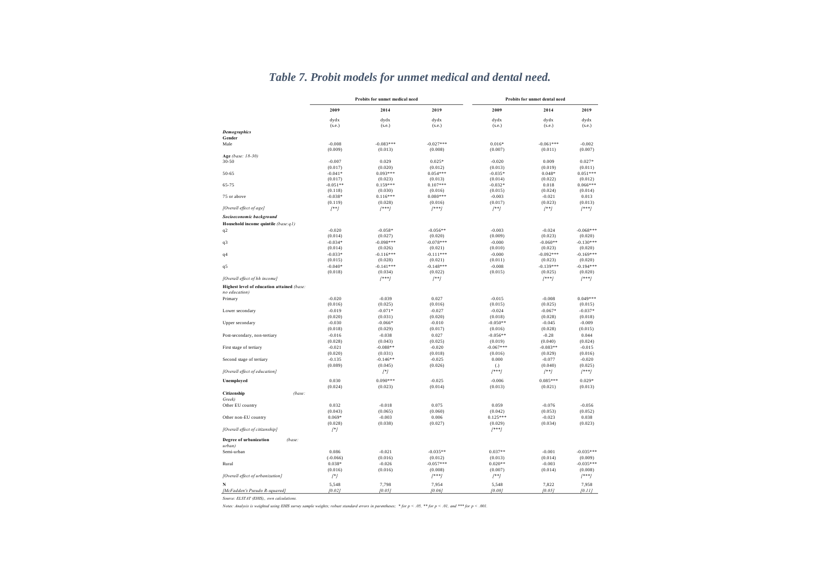|                                            |                | <b>Probits for unmet medical need</b> |                |             | Probits for unmet dental need<br>2009<br>2014<br>dydx<br>dydx<br>(s.e.)<br>(s.e.)<br>$-0.061***$<br>$0.016*$<br>(0.007)<br>(0.011)<br>$-0.020$<br>0.009<br>(0.013)<br>(0.019)<br>$0.048*$<br>$-0.035*$<br>(0.014)<br>(0.022)<br>$-0.032*$<br>0.018<br>(0.015)<br>(0.024)<br>$-0.003$<br>$-0.021$<br>(0.023)<br>(0.017)<br>$[$ **]<br>$[$ **]<br>$-0.003$<br>$-0.024$<br>(0.009)<br>(0.023)<br>$-0.060**$<br>$-0.000$<br>(0.010)<br>(0.023)<br>$-0.092***$<br>$-0.000$<br>(0.011)<br>(0.023) |                |  |
|--------------------------------------------|----------------|---------------------------------------|----------------|-------------|---------------------------------------------------------------------------------------------------------------------------------------------------------------------------------------------------------------------------------------------------------------------------------------------------------------------------------------------------------------------------------------------------------------------------------------------------------------------------------------------|----------------|--|
|                                            | 2009           | 2014                                  | 2019           |             |                                                                                                                                                                                                                                                                                                                                                                                                                                                                                             | 2019           |  |
|                                            | dydx<br>(s.e.) | dydx<br>(s.e.)                        | dydx<br>(s.e.) |             |                                                                                                                                                                                                                                                                                                                                                                                                                                                                                             | dydx<br>(s.e.) |  |
| <b>Demographics</b>                        |                |                                       |                |             |                                                                                                                                                                                                                                                                                                                                                                                                                                                                                             |                |  |
| Gender<br>Male                             | $-0.008$       | $-0.083***$                           | $-0.027***$    |             |                                                                                                                                                                                                                                                                                                                                                                                                                                                                                             | $-0.002$       |  |
|                                            | (0.009)        | (0.013)                               | (0.008)        |             |                                                                                                                                                                                                                                                                                                                                                                                                                                                                                             | (0.007)        |  |
| Age (base: 18-30)                          |                |                                       |                |             |                                                                                                                                                                                                                                                                                                                                                                                                                                                                                             |                |  |
| $30 - 50$                                  | $-0.007$       | 0.029                                 | $0.025*$       |             |                                                                                                                                                                                                                                                                                                                                                                                                                                                                                             | $0.027*$       |  |
|                                            | (0.017)        | (0.020)                               | (0.012)        |             |                                                                                                                                                                                                                                                                                                                                                                                                                                                                                             | (0.011)        |  |
| 50-65                                      | $-0.041*$      | $0.093***$                            | $0.054***$     |             |                                                                                                                                                                                                                                                                                                                                                                                                                                                                                             | $0.051***$     |  |
|                                            | (0.017)        | (0.023)                               | (0.013)        |             |                                                                                                                                                                                                                                                                                                                                                                                                                                                                                             | (0.012)        |  |
| 65-75                                      | $-0.051**$     | $0.159***$                            | $0.107***$     |             |                                                                                                                                                                                                                                                                                                                                                                                                                                                                                             | $0.066***$     |  |
|                                            | (0.118)        | (0.030)                               | (0.016)        |             |                                                                                                                                                                                                                                                                                                                                                                                                                                                                                             | (0.014)        |  |
| 75 or above                                | $-0.038*$      | $0.116***$                            | $0.080***$     |             |                                                                                                                                                                                                                                                                                                                                                                                                                                                                                             | 0.013          |  |
|                                            | (0.119)        | (0.028)                               | (0.016)        |             |                                                                                                                                                                                                                                                                                                                                                                                                                                                                                             | (0.013)        |  |
| [Overall effect of age]                    | $[$ **]        | $[$ ***]                              | $[$ ***]       |             |                                                                                                                                                                                                                                                                                                                                                                                                                                                                                             | $[$ ***]       |  |
| Socioeconomic background                   |                |                                       |                |             |                                                                                                                                                                                                                                                                                                                                                                                                                                                                                             |                |  |
| Household income quintile (base:q1)        |                |                                       |                |             |                                                                                                                                                                                                                                                                                                                                                                                                                                                                                             |                |  |
| q <sub>2</sub>                             | $-0.020$       | $-0.058*$                             | $-0.056**$     |             |                                                                                                                                                                                                                                                                                                                                                                                                                                                                                             | $-0.068***$    |  |
|                                            | (0.014)        | (0.027)                               | (0.020)        |             |                                                                                                                                                                                                                                                                                                                                                                                                                                                                                             | (0.020)        |  |
| q3                                         | $-0.034*$      | $-0.098***$                           | $-0.078***$    |             |                                                                                                                                                                                                                                                                                                                                                                                                                                                                                             | $-0.130***$    |  |
|                                            | (0.014)        | (0.026)                               | (0.021)        |             |                                                                                                                                                                                                                                                                                                                                                                                                                                                                                             | (0.020)        |  |
| q <sub>4</sub>                             | $-0.033*$      | $-0.116***$                           | $-0.111***$    |             |                                                                                                                                                                                                                                                                                                                                                                                                                                                                                             | $-0.169***$    |  |
|                                            | (0.015)        | (0.028)                               | (0.021)        |             |                                                                                                                                                                                                                                                                                                                                                                                                                                                                                             | (0.020)        |  |
| q5                                         | $-0.040*$      | $-0.141***$                           | $-0.148***$    | $-0.008$    | $-0.139***$                                                                                                                                                                                                                                                                                                                                                                                                                                                                                 | $-0.194***$    |  |
|                                            | (0.018)        | (0.034)                               | (0.022)        | (0.015)     | (0.025)                                                                                                                                                                                                                                                                                                                                                                                                                                                                                     | (0.020)        |  |
| [Overall effect of hh income]              |                | $[$ ***]                              | $[$ **]        |             | $[$ ** $]$                                                                                                                                                                                                                                                                                                                                                                                                                                                                                  | $[$ ***]       |  |
| Highest level of education attained (base: |                |                                       |                |             |                                                                                                                                                                                                                                                                                                                                                                                                                                                                                             |                |  |
| no education)                              |                |                                       |                |             |                                                                                                                                                                                                                                                                                                                                                                                                                                                                                             |                |  |
| Primary                                    | $-0.020$       | $-0.039$                              | 0.027          | $-0.015$    | $-0.008$                                                                                                                                                                                                                                                                                                                                                                                                                                                                                    | $0.049***$     |  |
|                                            | (0.016)        | (0.025)                               | (0.016)        | (0.015)     | (0.025)                                                                                                                                                                                                                                                                                                                                                                                                                                                                                     | (0.015)        |  |
| Lower secondary                            | $-0.019$       | $-0.071*$                             | $-0.027$       | $-0.024$    | $-0.067*$                                                                                                                                                                                                                                                                                                                                                                                                                                                                                   | $-0.037*$      |  |
|                                            | (0.020)        | (0.031)                               | (0.020)        | (0.018)     | (0.028)                                                                                                                                                                                                                                                                                                                                                                                                                                                                                     | (0.018)        |  |
| Upper secondary                            | $-0.030$       | $-0.066*$                             | $-0.010$       | $-0.050**$  | $-0.045$                                                                                                                                                                                                                                                                                                                                                                                                                                                                                    | $-0.009$       |  |
|                                            | (0.018)        | (0.029)                               | (0.017)        | (0.016)     | (0.028)                                                                                                                                                                                                                                                                                                                                                                                                                                                                                     | (0.015)        |  |
| Post-secondary, non-tertiary               | $-0.016$       | $-0.038$                              | 0.027          | $-0.056**$  | $-0.28$                                                                                                                                                                                                                                                                                                                                                                                                                                                                                     | 0.044          |  |
|                                            | (0.028)        | (0.043)                               | (0.025)        | (0.019)     | (0.040)                                                                                                                                                                                                                                                                                                                                                                                                                                                                                     | (0.024)        |  |
| First stage of tertiary                    | $-0.021$       | $-0.088**$                            | $-0.020$       | $-0.067***$ | $-0.083**$                                                                                                                                                                                                                                                                                                                                                                                                                                                                                  | $-0.015$       |  |
|                                            | (0.020)        | (0.031)                               | (0.018)        | (0.016)     | (0.029)                                                                                                                                                                                                                                                                                                                                                                                                                                                                                     | (0.016)        |  |
| Second stage of tertiary                   | $-0.135$       | $-0.146**$                            | $-0.025$       | 0.000       | $-0.077$                                                                                                                                                                                                                                                                                                                                                                                                                                                                                    | $-0.020$       |  |
|                                            | (0.089)        | (0.045)                               | (0.026)        | (.)         | (0.040)                                                                                                                                                                                                                                                                                                                                                                                                                                                                                     | (0.025)        |  |
| [Overall effect of education]              |                | $[$ *]                                |                | $[$ ** $]$  | $[$ **]                                                                                                                                                                                                                                                                                                                                                                                                                                                                                     | $[$ ***]       |  |
| Unemployed                                 | 0.030          | $0.090***$                            | $-0.025$       | $-0.006$    | $0.085***$                                                                                                                                                                                                                                                                                                                                                                                                                                                                                  | $0.029*$       |  |
|                                            | (0.024)        | (0.023)                               | (0.014)        | (0.013)     | (0.021)                                                                                                                                                                                                                                                                                                                                                                                                                                                                                     | (0.013)        |  |
| Citizenship<br>(base:<br>Greek)            |                |                                       |                |             |                                                                                                                                                                                                                                                                                                                                                                                                                                                                                             |                |  |
| Other EU country                           | 0.032          | $-0.018$                              | 0.075          | 0.059       | $-0.076$                                                                                                                                                                                                                                                                                                                                                                                                                                                                                    | $-0.056$       |  |
|                                            | (0.043)        | (0.065)                               | (0.060)        | (0.042)     | (0.053)                                                                                                                                                                                                                                                                                                                                                                                                                                                                                     | (0.052)        |  |
| Other non-EU country                       | $0.069*$       | $-0.003$                              | 0.006          | $0.125***$  | $-0.023$                                                                                                                                                                                                                                                                                                                                                                                                                                                                                    | 0.038          |  |
|                                            | (0.028)        | (0.038)                               | (0.027)        | (0.029)     | (0.034)                                                                                                                                                                                                                                                                                                                                                                                                                                                                                     | (0.023)        |  |
| [Overall effect of citizenship]            | $[$ *]         |                                       |                | $[$ ***]    |                                                                                                                                                                                                                                                                                                                                                                                                                                                                                             |                |  |
| Degree of urbanization<br>(base:<br>urban) |                |                                       |                |             |                                                                                                                                                                                                                                                                                                                                                                                                                                                                                             |                |  |
| Semi-urban                                 | 0.086          | $-0.021$                              | $-0.035**$     | $0.037**$   | $-0.001$                                                                                                                                                                                                                                                                                                                                                                                                                                                                                    | $-0.035***$    |  |
|                                            | $(-0.066)$     | (0.016)                               | (0.012)        | (0.013)     | (0.014)                                                                                                                                                                                                                                                                                                                                                                                                                                                                                     | (0.009)        |  |
| Rural                                      | $0.038*$       | $-0.026$                              | $-0.057***$    | $0.020**$   | $-0.003$                                                                                                                                                                                                                                                                                                                                                                                                                                                                                    | $-0.035***$    |  |
|                                            | (0.016)        | (0.016)                               | (0.008)        | (0.007)     | (0.014)                                                                                                                                                                                                                                                                                                                                                                                                                                                                                     | (0.008)        |  |
| [Overall effect of urbanization]           | $[{}^*]$       |                                       | $($ ***)       | $[$ **]     |                                                                                                                                                                                                                                                                                                                                                                                                                                                                                             | $[***]$        |  |
|                                            | 5,548          | 7,798                                 | 7,954          | 5,548       | 7,822                                                                                                                                                                                                                                                                                                                                                                                                                                                                                       | 7,958          |  |
| [McFadden's Pseudo R-squared]              | (0.02)         | (0.05)                                | [0.06]         | (0.08)      | (0.05)                                                                                                                                                                                                                                                                                                                                                                                                                                                                                      | [0.11]         |  |
|                                            |                |                                       |                |             |                                                                                                                                                                                                                                                                                                                                                                                                                                                                                             |                |  |

# *Table 7. Probit models for unmet medical and dental need.*

*Source: ELSTAT (EHIS),, own calculations.*

Notes: Analysis is weighted using EHIS survey sample weights; robust standard errors in parentheses; \* for  $p < .05$ , \*\* for  $p < .01$ , and \*\*\* for  $p < .001$ .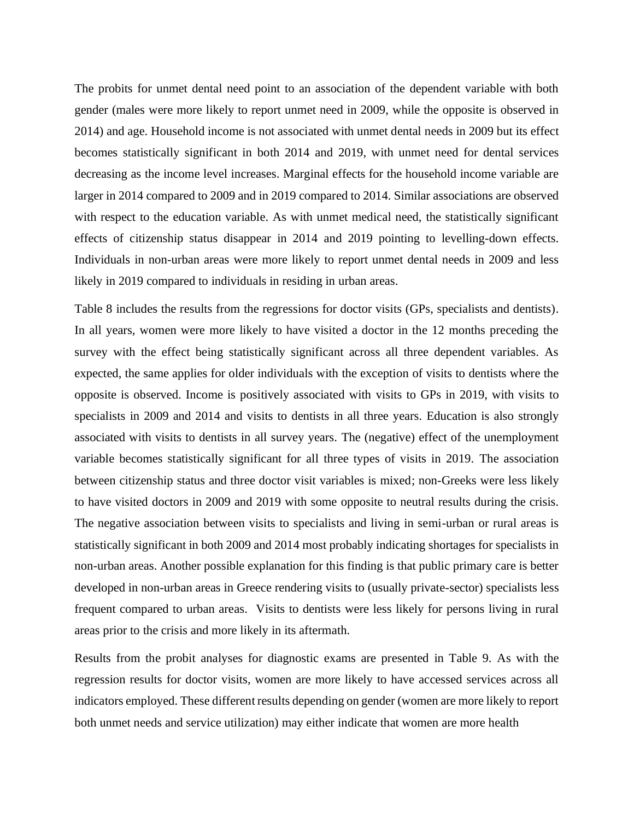The probits for unmet dental need point to an association of the dependent variable with both gender (males were more likely to report unmet need in 2009, while the opposite is observed in 2014) and age. Household income is not associated with unmet dental needs in 2009 but its effect becomes statistically significant in both 2014 and 2019, with unmet need for dental services decreasing as the income level increases. Marginal effects for the household income variable are larger in 2014 compared to 2009 and in 2019 compared to 2014. Similar associations are observed with respect to the education variable. As with unmet medical need, the statistically significant effects of citizenship status disappear in 2014 and 2019 pointing to levelling-down effects. Individuals in non-urban areas were more likely to report unmet dental needs in 2009 and less likely in 2019 compared to individuals in residing in urban areas.

Table 8 includes the results from the regressions for doctor visits (GPs, specialists and dentists). In all years, women were more likely to have visited a doctor in the 12 months preceding the survey with the effect being statistically significant across all three dependent variables. As expected, the same applies for older individuals with the exception of visits to dentists where the opposite is observed. Income is positively associated with visits to GPs in 2019, with visits to specialists in 2009 and 2014 and visits to dentists in all three years. Education is also strongly associated with visits to dentists in all survey years. The (negative) effect of the unemployment variable becomes statistically significant for all three types of visits in 2019. The association between citizenship status and three doctor visit variables is mixed; non-Greeks were less likely to have visited doctors in 2009 and 2019 with some opposite to neutral results during the crisis. The negative association between visits to specialists and living in semi-urban or rural areas is statistically significant in both 2009 and 2014 most probably indicating shortages for specialists in non-urban areas. Another possible explanation for this finding is that public primary care is better developed in non-urban areas in Greece rendering visits to (usually private-sector) specialists less frequent compared to urban areas. Visits to dentists were less likely for persons living in rural areas prior to the crisis and more likely in its aftermath.

Results from the probit analyses for diagnostic exams are presented in Table 9. As with the regression results for doctor visits, women are more likely to have accessed services across all indicators employed. These different results depending on gender (women are more likely to report both unmet needs and service utilization) may either indicate that women are more health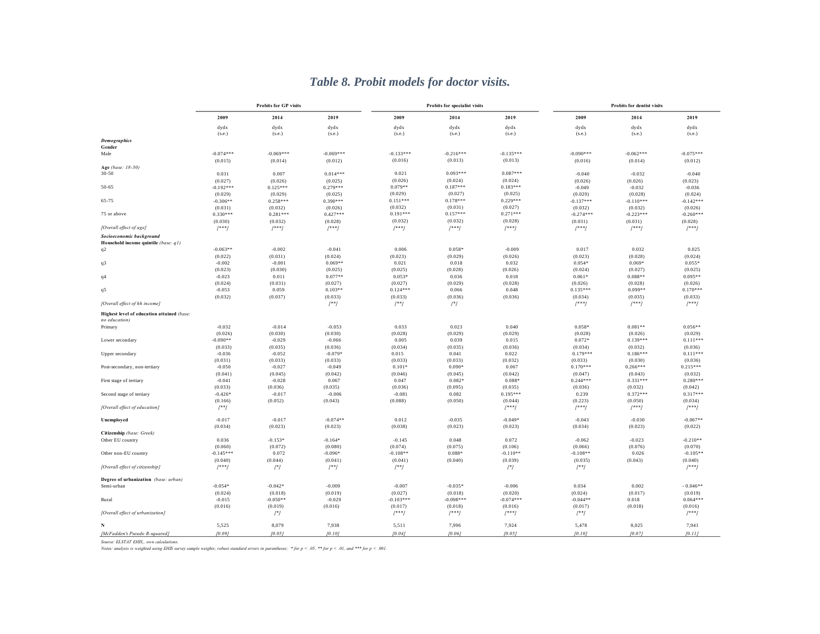|                                                             |                      | <b>Probits for GP visits</b> |                     |                     | Probits for specialist visits |                       |                  | <b>Probits for dentist visits</b> |                       |
|-------------------------------------------------------------|----------------------|------------------------------|---------------------|---------------------|-------------------------------|-----------------------|------------------|-----------------------------------|-----------------------|
|                                                             | 2009                 | 2014                         | 2019                | 2009                | 2014                          | 2019                  | 2009             | 2014                              | 2019                  |
|                                                             | dydx<br>(s.e.)       | dydx<br>(s.e.)               | dydx<br>(s.e.)      | dydx<br>(s.e.)      | dydx<br>(s.e.)                | dydx<br>(s.e.)        | dydx<br>(s.e.)   | dydx<br>(s.e.)                    | dydx<br>(s.e.)        |
| <b>Demographics</b>                                         |                      |                              |                     |                     |                               |                       |                  |                                   |                       |
| Gender                                                      |                      |                              |                     |                     |                               |                       |                  |                                   |                       |
| Male                                                        | $-0.074***$          | $-0.069***$                  | $-0.069***$         | $-0.133***$         | $-0.216***$                   | $-0.135***$           | $-0.090***$      | $-0.062***$                       | $-0.075***$           |
|                                                             | (0.015)              | (0.014)                      | (0.012)             | (0.016)             | (0.013)                       | (0.013)               | (0.016)          | (0.014)                           | (0.012)               |
| Age (base: 18-30)<br>$30 - 50$                              | 0.031                | 0.007                        | $0.014***$          | 0.021               | $0.093***$                    | $0.087***$            | $-0.040$         | $-0.032$                          | $-0.040$              |
|                                                             | (0.027)              | (0.026)                      | (0.025)             | (0.026)             | (0.024)                       | (0.024)               | (0.026)          | (0.026)                           | (0.023)               |
| 50-65                                                       | $-0.192***$          | $0.125***$                   | $0.279***$          | $0.079**$           | $0.187***$                    | $0.183***$            | $-0.049$         | $-0.032$                          | $-0.036$              |
|                                                             | (0.029)              | (0.029)                      | (0.025)             | (0.029)             | (0.027)                       | (0.025)               | (0.029)          | (0.028)                           | (0.024)               |
| 65-75                                                       | $-0.306**$           | $0.258***$                   | $0.390***$          | $0.151***$          | $0.178***$                    | $0.229***$            | $-0.137***$      | $-0.110***$                       | $-0.142***$           |
|                                                             | (0.031)              | (0.032)                      | (0.026)             | (0.032)             | (0.031)                       | (0.027)               | (0.032)          | (0.032)                           | (0.026)               |
| 75 or above                                                 | $0.330***$           | $0.281***$                   | $0.427***$          | $0.191***$          | $0.157***$                    | $0.271***$            | $-0.274***$      | $-0.223***$                       | $-0.260***$           |
|                                                             | (0.030)              | (0.032)                      | (0.028)             | (0.032)             | (0.032)                       | (0.028)               | (0.031)          | (0.031)                           | (0.028)               |
| [Overall effect of age]                                     | $1***1$              | $1***1$                      | $[$ ***]            | $1***1$             | $1***1$                       | $1***1$               | $1***1$          | $[$ ***]                          | $1***1$               |
| Socioeconomic background                                    |                      |                              |                     |                     |                               |                       |                  |                                   |                       |
| Household income quintile (base: q1)                        |                      |                              |                     |                     |                               |                       |                  |                                   |                       |
| q2                                                          | $-0.063**$           | $-0.002$                     | $-0.041$            | 0.006               | $0.058*$                      | $-0.009$              | 0.017            | 0.032                             | 0.025                 |
|                                                             | (0.022)              | (0.031)                      | (0.024)             | (0.023)             | (0.029)                       | (0.026)               | (0.023)          | (0.028)                           | (0.024)               |
| q3                                                          | $-0.002$             | $-0.001$                     | $0.069**$           | 0.021               | 0.018                         | 0.032                 | $0.054*$         | $0.069*$                          | $0.055*$              |
|                                                             | (0.023)              | (0.030)                      | (0.025)             | (0.025)             | (0.028)                       | (0.026)               | (0.024)          | (0.027)                           | (0.025)               |
| q4                                                          | $-0.023$             | 0.011                        | $0.077**$           | $0.053*$            | 0.036                         | 0.018                 | $0.061*$         | $0.088**$                         | $0.095**$             |
|                                                             | (0.024)              | (0.031)                      | (0.027)             | (0.027)             | (0.029)                       | (0.028)               | (0.026)          | (0.028)                           | (0.026)               |
| q5                                                          | $-0.053$             | 0.059                        | $0.103**$           | $0.124***$          | 0.066                         | 0.048                 | $0.135***$       | $0.099**$                         | $0.170***$            |
|                                                             | (0.032)              | (0.037)                      | (0.033)             | (0.033)             | (0.036)                       | (0.036)               | (0.034)          | (0.035)                           | (0.033)               |
| [Overall effect of hh income]                               |                      |                              | $[$ **]             | $[$ **]             | $[$ * $]$                     |                       | $1***1$          | $[$ ***]                          | $[$ ***]              |
| Highest level of education attained (base:<br>no education) |                      |                              |                     |                     |                               |                       |                  |                                   |                       |
| Primary                                                     | $-0.032$             | $-0.014$                     | $-0.053$            | 0.033               | 0.023                         | 0.040                 | $0.058*$         | $0.081**$                         | $0.056**$             |
|                                                             | (0.026)              | (0.030)                      | (0.030)             | (0.028)             | (0.029)                       | (0.029)               | (0.028)          | (0.026)                           | (0.029)               |
| Lower secondary                                             | $-0.090**$           | $-0.029$                     | $-0.066$            | 0.005               | 0.039                         | 0.015                 | $0.072*$         | $0.139***$                        | $0.111***$            |
|                                                             | (0.033)              | (0.035)                      | (0.036)             | (0.034)             | (0.035)                       | (0.036)               | (0.034)          | (0.032)                           | (0.036)               |
| Upper secondary                                             | $-0.036$             | $-0.052$                     | $-0.079*$           | 0.015               | 0.041                         | 0.022                 | $0.179***$       | $0.186***$                        | $0.111***$            |
|                                                             | (0.031)              | (0.033)                      | (0.033)             | (0.033)             | (0.033)                       | (0.032)               | (0.033)          | (0.030)                           | (0.036)               |
| Post-secondary, non-tertiary                                | $-0.050$             | $-0.027$                     | $-0.049$            | $0.101*$            | $0.090*$                      | 0.067                 | $0.170***$       | $0.266***$                        | $0.215***$            |
|                                                             | (0.041)              | (0.045)                      | (0.042)             | (0.046)             | (0.045)                       | (0.042)               | (0.047)          | (0.043)                           | (0.032)               |
| First stage of tertiary                                     | $-0.041$             | $-0.028$                     | 0.067               | 0.047               | $0.082*$                      | $0.088*$              | $0.244***$       | $0.331***$                        | $0.280***$            |
|                                                             | (0.033)              | (0.036)                      | (0.035)             | (0.036)             | (0.095)                       | (0.035)               | (0.036)          | (0.032)                           | (0.042)               |
| Second stage of tertiary                                    | $-0.426*$<br>(0.166) | $-0.017$<br>(0.052)          | $-0.006$<br>(0.043) | $-0.081$<br>(0.088) | 0.082<br>(0.050)              | $0.195***$<br>(0.044) | 0.239<br>(0.223) | $0.372***$<br>(0.050)             | $0.317***$<br>(0.034) |
| [Overall effect of education]                               | $[$ **]              |                              |                     |                     |                               | $[$ ***]              | $[$ ** $]$       | $1***1$                           | $1***1$               |
|                                                             |                      |                              |                     |                     |                               |                       |                  |                                   |                       |
| Unemployed                                                  | $-0.017$             | $-0.017$                     | $-0.074**$          | 0.012               | $-0.035$                      | $-0.049*$             | $-0.043$         | $-0.030$                          | $-0.067**$            |
|                                                             | (0.034)              | (0.023)                      | (0.023)             | (0.038)             | (0.023)                       | (0.023)               | (0.034)          | (0.023)                           | (0.022)               |
| Citizenship (base: Greek)                                   |                      |                              |                     |                     |                               |                       |                  |                                   |                       |
| Other EU country                                            | 0.036                | $-0.153*$                    | $-0.164*$           | $-0.145$            | 0.048                         | 0.072                 | $-0.062$         | $-0.023$                          | $-0.210**$            |
|                                                             | (0.060)              | (0.072)                      | (0.080)             | (0.074)             | (0.075)                       | (0.106)               | (0.066)          | (0.076)                           | (0.070)               |
| Other non-EU country                                        | $-0.145***$          | 0.072                        | $-0.096*$           | $-0.108**$          | $0.088*$                      | $-0.110**$            | $-0.108**$       | 0.026                             | $-0.105**$            |
|                                                             | (0.040)              | (0.044)                      | (0.041)             | (0.041)             | (0.040)                       | (0.039)               | (0.035)          | (0.043)                           | (0.040)               |
| [Overall effect of citizenship]                             | $[$ ***]             | $[$ * $]$                    | $[$ **]             | $[$ **]             |                               | $[$ *]                | $[$ **]          |                                   | $[$ ***]              |
| Degree of urbanization (base: urban)                        |                      |                              |                     |                     |                               |                       |                  |                                   |                       |
| Semi-urban                                                  | $-0.054*$            | $-0.042*$                    | $-0.009$            | $-0.007$            | $-0.035*$                     | $-0.006$              | 0.034            | 0.002                             | $-0.046**$            |
|                                                             | (0.024)              | (0.018)                      | (0.019)             | (0.027)             | (0.018)                       | (0.020)               | (0.024)          | (0.017)                           | (0.019)               |
| Rural                                                       | $-0.015$             | $-0.050**$                   | $-0.029$            | $-0.103***$         | $-0.098***$                   | $-0.074***$           | $-0.044**$       | 0.018                             | $0.064***$            |
|                                                             | (0.016)              | (0.019)                      | (0.016)             | (0.017)             | (0.018)                       | (0.016)               | (0.017)          | (0.018)                           | (0.016)               |
| [Overall effect of urbanization]                            |                      | $[$ * $]$                    |                     | $1***1$             | $1***1$                       | $1***1$               | $[$ **]          |                                   | $1***1$               |
|                                                             | 5,525                | 8,079                        | 7,938               | 5,511               | 7,996                         | 7,924                 | 5,478            | 8,025                             | 7,941                 |
| [McFadden's Pseudo R-squared]                               | [0.09]               | (0.05)                       | [0.10]              | [0.04]              | [0.06]                        | 10.051                | 10.101           | 10.071                            | [0.11]                |
|                                                             |                      |                              |                     |                     |                               |                       |                  |                                   |                       |

# *Table 8. Probit models for doctor visits.*

*Source: ELSTAT EHIS,, own calculations.*

Notes: analysis is weighted using EHIS survey sample weights; robust standard errors in parentheses; \* for  $p < .05$ , \*\* for  $p < .01$ , and \*\*\* for  $p < .001$ .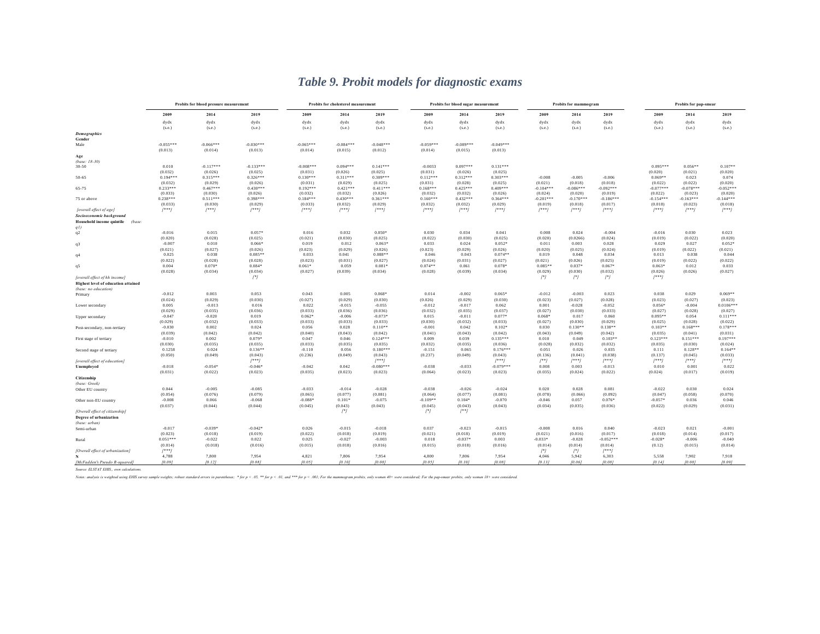|                                                                             |                        | Probits for blood pressure measurement |                        |                        | Probits for cholesterol measurement |                        |                        | Probits for blood sugar measurement |                        |                        | Probits for mammogram              |                        | Probits for pap-smear  |                        |                        |
|-----------------------------------------------------------------------------|------------------------|----------------------------------------|------------------------|------------------------|-------------------------------------|------------------------|------------------------|-------------------------------------|------------------------|------------------------|------------------------------------|------------------------|------------------------|------------------------|------------------------|
|                                                                             | 2009                   | 2014                                   | 2019                   | 2009                   | 2014                                | 2019                   | 2009                   | 2014                                | 2019                   | 2009                   | 2014                               | 2019                   | 2009                   | 2014                   | 2019                   |
|                                                                             | dydx<br>(s.e.)         | dydx<br>(s.e.)                         | dydx<br>(s.e.)         | dydx<br>(s.e.)         | dydx<br>(s.e.)                      | dydx<br>(s.e.)         | dydx<br>(s.e.)         | dydx<br>(s.e.)                      | dydx<br>(s.e.)         | dydx<br>(s.e.)         | dydx<br>(s.e.)                     | dydx<br>(s.e.)         | dydx<br>(s.e.)         | dydx<br>(s.e.)         | dydx<br>(s.e.)         |
| <b>Demographics</b>                                                         |                        |                                        |                        |                        |                                     |                        |                        |                                     |                        |                        |                                    |                        |                        |                        |                        |
| Gender<br>Male                                                              | $-0.055***$<br>(0.013) | $-0.066***$<br>(0.014)                 | $-0.030***$<br>(0.013) | $-0.065***$<br>(0.014) | $-0.084***$<br>(0.015)              | $-0.048***$<br>(0.012) | $-0.059***$<br>(0.014) | $-0.089***$<br>(0.015)              | $-0.049***$<br>(0.013) |                        |                                    |                        |                        |                        |                        |
| Age                                                                         |                        |                                        |                        |                        |                                     |                        |                        |                                     |                        |                        |                                    |                        |                        |                        |                        |
| (base: 18-30)                                                               |                        |                                        |                        |                        |                                     |                        |                        |                                     |                        |                        |                                    |                        |                        |                        |                        |
| 30-50                                                                       | 0.010                  | $-0.117***$                            | $-0.133***$            | $-0.008***$            | $0.094***$                          | $0.141***$             | $-0.0033$              | $0.097***$                          | $0.131***$             |                        |                                    |                        | $0.095***$             | $0.056**$              | $0.107**$              |
|                                                                             | (0.032)                | (0.026)                                | (0.025)                | (0.031)                | (0.026)                             | (0.025)                | (0.031)                | (0.026)                             | (0.025)                |                        |                                    |                        | (0.020)                | (0.021)                | (0.020)                |
| $50 - 65$                                                                   | $0.194***$             | $0.315***$                             | $0.326***$             | $0.130***$             | $0.311***$                          | $0.309***$             | $0.112***$             | $0.312***$                          | $0.303***$             | $-0.008$               | $-0.005$                           | $-0.006$               | $0.069**$              | 0.023                  | 0.074                  |
|                                                                             | (0.032)<br>$0.233***$  | (0.029)<br>$0.467***$                  | (0.026)<br>$0.430***$  | (0.031)<br>$0.192***$  | (0.029)<br>$0.421***$               | (0.025)<br>$0.411***$  | (0.031)<br>$0.168***$  | (0.028)<br>$0.425***$               | (0.025)<br>$0.409***$  | (0.021)<br>$-0.104***$ | (0.018)<br>$-0.086$ <sup>***</sup> | (0.018)<br>$-0.092***$ | (0.022)<br>$-0.077***$ | (0.022)<br>$-0.078***$ | (0.020)<br>$-0.052***$ |
| 65-75                                                                       | (0.033)                | (0.030)                                | (0.026)                | (0.032)                | (0.032)                             | (0.026)                | (0.032)                | (0.032)                             | (0.026)                | (0.024)                | (0.020)                            | (0.019)                | (0.022)                | (0.023)                | (0.020)                |
| 75 or above                                                                 | $0.238***$             | $0.511***$                             | $0.398***$             | $0.184***$             | $0.430***$                          | $0.361***$             | $0.160***$             | $0.432***$                          | $0.364***$             | $-0.201***$            | $-0.170***$                        | $-0.186***$            | $-0.154***$            | $-0.163***$            | $-0.144$ ***           |
|                                                                             | (0.033)                | (0.030)                                | (0.029)                | (0.033)                | (0.032)                             | (0.029)                | (0.032)                | (0.032)                             | (0.029)                | (0.019)                | (0.018)                            | (0.017)                | (0.018)                | (0.023)                | (0.018)                |
| [overall effect of age]                                                     | $[$ ***]               | $[$ ** $]$                             | $[$ ***]               | $[$ ** $]$             | $[$ ***]                            | $[$ ***]               | $[$ ***]               | $[$ ***]                            | $1***1$                | $[$ ***]               | $[$ ***]                           | $[$ ***]               | $[$ ** $]$             | $1***1$                | $[$ ** $]$             |
| Socioeconomic background                                                    |                        |                                        |                        |                        |                                     |                        |                        |                                     |                        |                        |                                    |                        |                        |                        |                        |
| Household income quintile<br>(base:<br>q1)                                  |                        |                                        |                        |                        |                                     |                        |                        |                                     |                        |                        |                                    |                        |                        |                        |                        |
| q2                                                                          | $-0.016$               | 0.015                                  | $0.057*$               | 0.016                  | 0.032                               | $0.050*$               | 0.030                  | 0.034                               | 0.041                  | 0.008                  | 0.024                              | $-0.004$               | $-0.016$               | 0.030                  | 0.023                  |
|                                                                             | (0.020)                | (0.028)                                | (0.025)                | (0.021)                | (0.030)                             | (0.025)                | (0.022)                | (0.030)                             | (0.025)                | (0.020)                | (0.0266)                           | (0.024)                | (0.019)                | (0.022)                | (0.020)                |
| q3                                                                          | $-0.007$               | 0.010                                  | $0.066*$               | 0.019                  | 0.012                               | $0.063*$               | 0.033                  | 0.024                               | $0.052*$               | 0.011                  | 0.003                              | 0.028                  | 0.029                  | 0.027                  | $0.052*$               |
|                                                                             | (0.021)                | (0.027)                                | (0.026)                | (0.023)                | (0.029)                             | (0.026)                | (0.023)                | (0.029)                             | (0.026)                | (0.020)                | (0.025)                            | (0.024)                | (0.019)                | (0.022)                | (0.021)                |
| q4                                                                          | 0.025                  | 0.038                                  | $0.085**$              | 0.033                  | 0.041                               | $0.088**$              | 0.046                  | 0.043                               | $0.074**$              | 0.019                  | 0.048                              | 0.034                  | 0.013                  | 0.038                  | 0.044                  |
|                                                                             | (0.022)                | (0.028)                                | (0.028)                | (0.023)                | (0.031)                             | (0.027)                | (0.024)                | (0.031)                             | (0.027)                | (0.021)                | (0.026)                            | (0.025)                | (0.019)                | (0.022)                | (0.022)                |
| q5                                                                          | 0.004                  | $0.070*$                               | $0.084*$               | $0.061*$               | 0.059                               | $0.081*$               | $0.074**$              | 0.061                               | $0.078*$               | $0.085**$              | $0.037*$                           | $0.067*$               | $0.063*$               | 0.012                  | 0.033                  |
|                                                                             | (0.028)                | (0.034)                                | (0.034)                | (0.027)                | (0.039)                             | (0.034)                | (0.028)                | (0.039)                             | (0.034)                | (0.029)                | (0.030)                            | (0.032)                | (0.026)                | (0.026)                | (0.027)                |
| [overall effect of hh income]<br><b>Highest level of education attained</b> |                        |                                        | $[$ * $]$              |                        |                                     |                        |                        |                                     |                        | $[$ *]                 | $[$ * $]$                          | $[$ * $]$              | $[$ ** $]$             |                        |                        |
| (base: no education)                                                        |                        |                                        |                        |                        |                                     |                        |                        |                                     |                        |                        |                                    |                        |                        |                        |                        |
| Primary                                                                     | $-0.012$               | 0.003                                  | 0.053                  | 0.043                  | 0.005                               | $0.068*$               | 0.014                  | $-0.002$                            | $0.065*$               | $-0.012$               | $-0.003$                           | 0.023                  | 0.038                  | 0.029                  | $0.069**$              |
|                                                                             | (0.024)                | (0.029)                                | (0.030)                | (0.027)                | (0.029)                             | (0.030)                | (0.026)                | (0.029)                             | (0.030)                | (0.023)                | (0.027)                            | (0.028)                | (0.023)                | (0.027)                | (0.023)                |
| Lower secondary                                                             | 0.005                  | $-0.013$                               | 0.016                  | 0.022                  | $-0.015$                            | $-0.055$               | $-0.012$               | $-0.017$                            | 0.062                  | 0.001                  | $-0.028$                           | $-0.052$               | $0.056*$               | $-0.004$               | $0.0106***$            |
|                                                                             | (0.029)                | (0.035)<br>$-0.020$                    | (0.036)                | (0.033)                | (0.036)                             | (0.036)                | (0.032)                | (0.035)                             | (0.037)                | (0.027)                | (0.030)                            | (0.033)                | (0.027)<br>$0.095**$   | (0.028)                | (0.027)<br>$0.111***$  |
| Upper secondary                                                             | $-0.047$               |                                        | 0.019                  | $0.062*$               | $-0.006$                            | $-0.073*$              | 0.015                  | $-0.011$                            | $0.077$ <sup>*</sup>   | $0.068*$               | 0.017                              | 0.060                  |                        | 0.054                  |                        |
| Post-secondary, non-tertiary                                                | (0.029)<br>$-0.030$    | (0.032)<br>0.002                       | (0.033)<br>0.024       | (0.033)<br>0.056       | (0.033)<br>0.028                    | (0.033)<br>$0.110**$   | (0.030)<br>$-0.001$    | (0.032)<br>0.042                    | (0.033)<br>$0.102*$    | (0.027)<br>0.030       | (0.030)<br>$0.130**$               | (0.029)<br>$0.138**$   | (0.025)<br>$0.103**$   | (0.028)<br>$0.168***$  | (0.022)<br>$0.178***$  |
|                                                                             | (0.039)                | (0.042)                                | (0.042)                | (0.040)                | (0.043)                             | (0.042)                | (0.041)                | (0.043)                             | (0.042)                | (0.043)                | (0.049)                            | (0.042)                | (0.035)                | (0.041)                | (0.031)                |
| First stage of tertiary                                                     | $-0.010$               | 0.002                                  | $0.079*$               | 0.047                  | 0.046                               | $0.124***$             | 0.009                  | 0.039                               | $0.135***$             | 0.010                  | 0.049                              | $0.103**$              | $0.123***$             | $0.151***$             | $0.197***$             |
|                                                                             | (0.030)                | (0.035)                                | (0.035)                | (0.033)                | (0.035)                             | (0.035)                | (0.032)                | (0.035)                             | (0.036)                | (0.028)                | (0.032)                            | (0.032)                | (0.035)                | (0.030)                | (0.024)                |
| Second stage of tertiary                                                    | 0.1258                 | 0.024                                  | $0.136**$              | $-0.110$               | 0.056                               | $0.180***$             | $-0.151$               | 0.065                               | $0.176***$             | 0.051                  | 0.026                              | 0.035                  | 0.111                  | $0.128**$              | $0.164**$              |
|                                                                             | (0.050)                | (0.049)                                | (0.043)                | (0.236)                | (0.049)                             | (0.043)                | (0.237)                | (0.049)                             | (0.043)                | (0.136)                | (0.041)                            | (0.038)                | (0.137)                | (0.045)                | (0.033)                |
| [overall effect of education]                                               |                        |                                        | $[$ ***]               |                        |                                     | $[$ ***]               |                        |                                     | $1***1$                | $[$ **]                | $[$ *** $]$                        | $1***1$                | $1***1$                | $[$ ***]               | $[$ ** $]$             |
| Unemployed                                                                  | $-0.018$               | $-0.054*$                              | $-0.046*$              | $-0.042$               | 0.042                               | $-0.080***$            | $-0.038$               | $-0.033$                            | $-0.079***$            | 0.008                  | 0.003                              | $-0.013$               | 0.010                  | 0.001                  | 0.022                  |
|                                                                             | (0.031)                | (0.022)                                | (0.023)                | (0.035)                | (0.023)                             | (0.023)                | (0.064)                | (0.023)                             | (0.023)                | (0.035)                | (0.024)                            | (0.022)                | (0.024)                | (0.017)                | (0.019)                |
| Citizenship<br>(base: Greek)                                                |                        |                                        |                        |                        |                                     |                        |                        |                                     |                        |                        |                                    |                        |                        |                        |                        |
| Other EU country                                                            | 0.044                  | $-0.005$                               | $-0.085$               | $-0.033$               | $-0.014$                            | $-0.028$               | $-0.038$               | $-0.026$                            | $-0.024$               | 0.020                  | 0.028                              | 0.081                  | $-0.022$               | 0.030                  | 0.024                  |
|                                                                             | (0.054)                | (0.076)                                | (0.079)                | (0.065)                | (0.077)                             | (0.081)                | (0.064)                | (0.077)                             | (0.081)                | (0.078)                | (0.066)                            | (0.092)                | (0.047)                | (0.058)                | (0.070)                |
| Other non-EU country                                                        | $-0.008$               | 0.066                                  | $-0.068$               | $-0.088*$              | $0.101*$                            | $-0.075$               | $-0.109***$            | $0.104*$                            | $-0.070$               | $-0.046$               | 0.057                              | $0.076*$               | $-0.057*$              | 0.036                  | 0.046                  |
|                                                                             | (0.037)                | (0.044)                                | (0.044)                | (0.045)                | (0.043)                             | (0.043)                | (0.045)                | (0.043)                             | (0.043)                | (0.034)                | (0.035)                            | (0.036)                | (0.022)                | (0.029)                | (0.031)                |
| [Overall effect of citizenship]                                             |                        |                                        |                        |                        | $[$ *]                              |                        | $[$ <sup>*</sup> $]$   | $[$ **]                             |                        |                        |                                    |                        |                        |                        |                        |
| Degree of urbanization                                                      |                        |                                        |                        |                        |                                     |                        |                        |                                     |                        |                        |                                    |                        |                        |                        |                        |
| (base: urban)                                                               |                        |                                        |                        |                        |                                     |                        |                        |                                     |                        |                        |                                    |                        |                        |                        |                        |
| Semi-urban                                                                  | $-0.017$               | $-0.039*$                              | $-0.042*$              | 0.026                  | $-0.015$                            | $-0.018$               | 0.037                  | $-0.023$                            | $-0.015$               | $-0.008$               | 0.016                              | 0.040                  | $-0.023$               | 0.021                  | $-0.001$               |
|                                                                             | (0.023)                | (0.018)                                | (0.019)                | (0.022)                | (0.018)                             | (0.019)                | (0.021)                | (0.018)                             | (0.019)                | (0.021)                | (0.016)                            | (0.017)                | (0.018)                | (0.014)                | (0.017)                |
| Rural                                                                       | $0.051***$             | $-0.022$                               | 0.022                  | 0.025                  | $-0.027$                            | $-0.003$               | 0.018                  | $-0.037*$                           | 0.003                  | $-0.033*$              | $-0.028$                           | $-0.052***$            | $-0.028*$              | $-0.006$               | $-0.040$               |
| [Overall effect of urbanization]                                            | (0.014)<br>$1***1$     | (0.018)                                | (0.016)                | (0.015)                | (0.018)                             | (0.016)                | (0.015)                | (0.018)                             | (0.016)                | (0.014)<br>$[$ *]      | (0.014)<br>$[$ <sup>*</sup> $]$    | (0.014)<br>$1***1$     | (0.12)                 | (0.015)                | (0.014)                |
|                                                                             | 4,788                  | 7,800                                  | 7,954                  | 4,821                  | 7.806                               | 7,954                  | 4.800                  | 7.806                               | 7,954                  | 4,046                  | 5,942                              | 6,303                  | 5,558                  | 7,902                  | 7,918                  |
| [McFadden's Pseudo R-squared]                                               | (0.09)                 | [0.12]                                 | (0.08)                 | (0.05)                 | [0.10]                              | 10.081                 | (0.05)                 | [0.10]                              | (0.08)                 | [0.13]                 | [0.06]                             | 10.081                 | [0.14]                 | (0.08)                 | [0.09]                 |
|                                                                             |                        |                                        |                        |                        |                                     |                        |                        |                                     |                        |                        |                                    |                        |                        |                        |                        |

# *Table 9. Probit models for diagnostic exams*

*Source: ELSTAT EHIS,, own calculations.*

Notes: analysis is weighted using EHIS survey sample weights; robust standard errors in parenthese; \* for  $p < .0$ , \*\*\* for  $p < .0$ , and \*\*\* for  $p < .0$ }; For the nammogram probits, only women 40+ were considered. For the pap-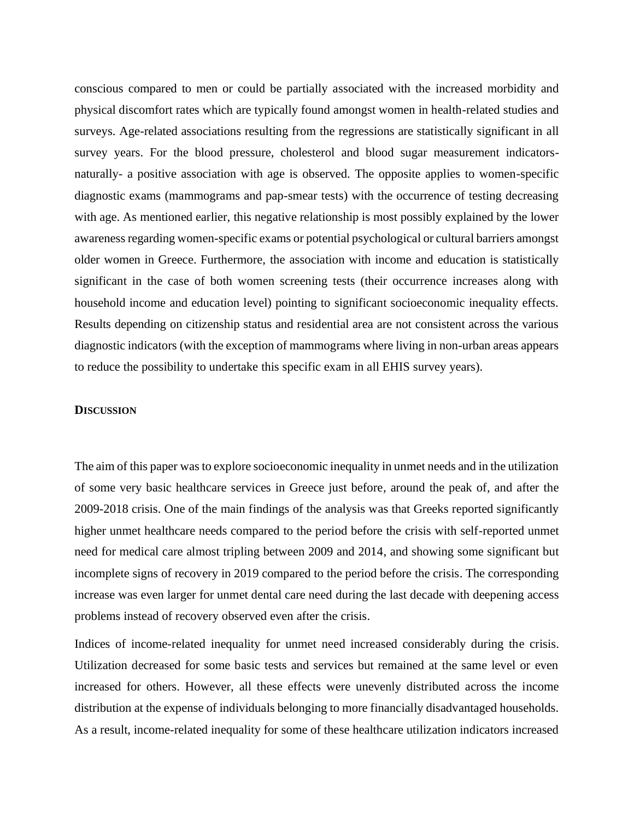conscious compared to men or could be partially associated with the increased morbidity and physical discomfort rates which are typically found amongst women in health-related studies and surveys. Age-related associations resulting from the regressions are statistically significant in all survey years. For the blood pressure, cholesterol and blood sugar measurement indicatorsnaturally- a positive association with age is observed. The opposite applies to women-specific diagnostic exams (mammograms and pap-smear tests) with the occurrence of testing decreasing with age. As mentioned earlier, this negative relationship is most possibly explained by the lower awareness regarding women-specific exams or potential psychological or cultural barriers amongst older women in Greece. Furthermore, the association with income and education is statistically significant in the case of both women screening tests (their occurrence increases along with household income and education level) pointing to significant socioeconomic inequality effects. Results depending on citizenship status and residential area are not consistent across the various diagnostic indicators (with the exception of mammograms where living in non-urban areas appears to reduce the possibility to undertake this specific exam in all EHIS survey years).

#### **DISCUSSION**

The aim of this paper was to explore socioeconomic inequality in unmet needs and in the utilization of some very basic healthcare services in Greece just before, around the peak of, and after the 2009-2018 crisis. One of the main findings of the analysis was that Greeks reported significantly higher unmet healthcare needs compared to the period before the crisis with self-reported unmet need for medical care almost tripling between 2009 and 2014, and showing some significant but incomplete signs of recovery in 2019 compared to the period before the crisis. The corresponding increase was even larger for unmet dental care need during the last decade with deepening access problems instead of recovery observed even after the crisis.

Indices of income-related inequality for unmet need increased considerably during the crisis. Utilization decreased for some basic tests and services but remained at the same level or even increased for others. However, all these effects were unevenly distributed across the income distribution at the expense of individuals belonging to more financially disadvantaged households. As a result, income-related inequality for some of these healthcare utilization indicators increased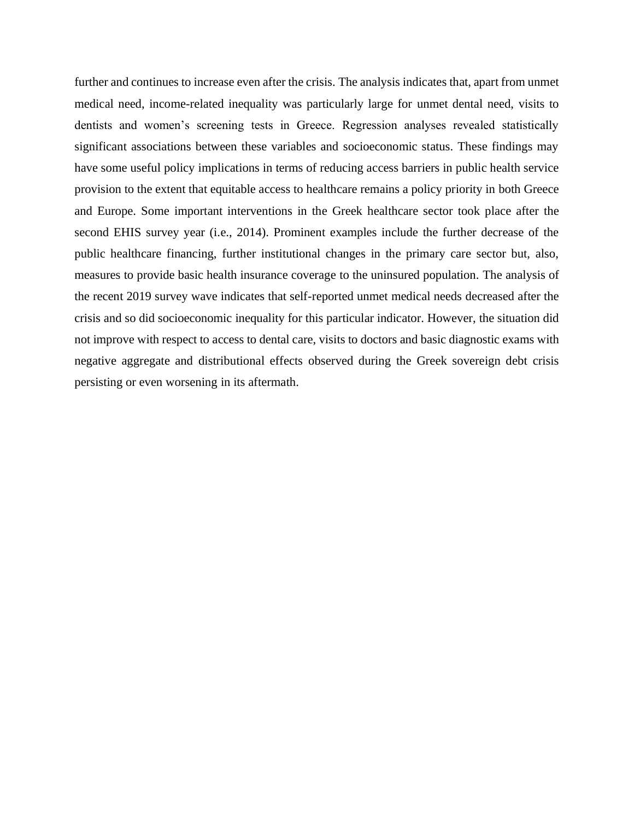further and continues to increase even after the crisis. The analysis indicates that, apart from unmet medical need, income-related inequality was particularly large for unmet dental need, visits to dentists and women's screening tests in Greece. Regression analyses revealed statistically significant associations between these variables and socioeconomic status. These findings may have some useful policy implications in terms of reducing access barriers in public health service provision to the extent that equitable access to healthcare remains a policy priority in both Greece and Europe. Some important interventions in the Greek healthcare sector took place after the second EHIS survey year (i.e., 2014). Prominent examples include the further decrease of the public healthcare financing, further institutional changes in the primary care sector but, also, measures to provide basic health insurance coverage to the uninsured population. The analysis of the recent 2019 survey wave indicates that self-reported unmet medical needs decreased after the crisis and so did socioeconomic inequality for this particular indicator. However, the situation did not improve with respect to access to dental care, visits to doctors and basic diagnostic exams with negative aggregate and distributional effects observed during the Greek sovereign debt crisis persisting or even worsening in its aftermath.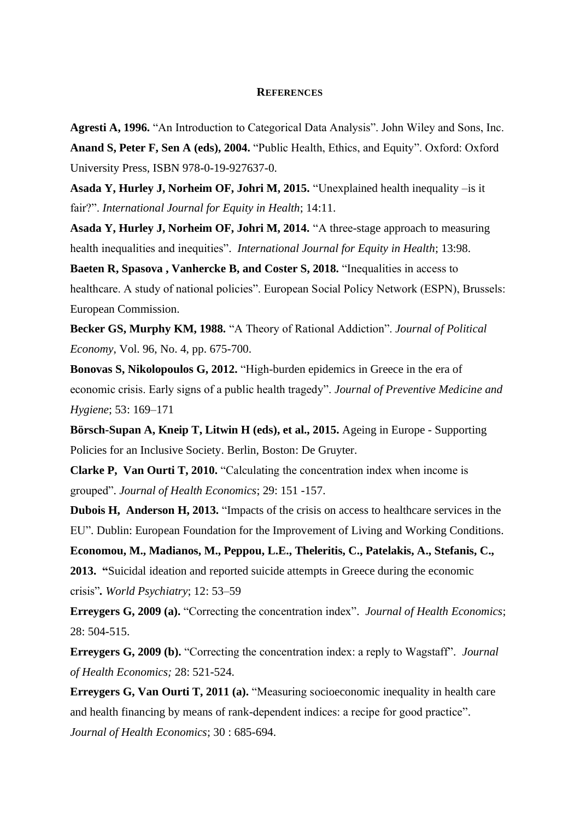#### **REFERENCES**

**Agresti A, 1996.** "An Introduction to Categorical Data Analysis". John Wiley and Sons, Inc. **Anand S, Peter F, Sen A (eds), 2004.** "Public Health, Ethics, and Equity". Oxford: Oxford University Press, ISBN 978-0-19-927637-0.

**Asada Y, Hurley J, Norheim OF, Johri M, 2015.** "Unexplained health inequality –is it fair?". *International Journal for Equity in Health*; 14:11.

**Asada Y, Hurley J, Norheim OF, Johri M, 2014.** "A three-stage approach to measuring health inequalities and inequities". *International Journal for Equity in Health*; 13:98.

**Baeten R, Spasova , Vanhercke B, and Coster S, 2018.** "Inequalities in access to healthcare. A study of national policies". European Social Policy Network (ESPN), Brussels: European Commission.

**Becker GS, Murphy KM, 1988.** "A Theory of Rational Addiction". *Journal of Political Economy*, Vol. 96, No. 4, pp. 675-700.

**Bonovas S, Nikolopoulos G, 2012.** "High-burden epidemics in Greece in the era of economic crisis. Early signs of a public health tragedy". *Journal of Preventive Medicine and Hygiene*; 53: 169–171

**Börsch-Supan A, Kneip T, Litwin H (eds), et al., 2015.** Ageing in Europe - Supporting Policies for an Inclusive Society. Berlin, Boston: De Gruyter.

**Clarke P, Van Ourti T, 2010.** "Calculating the concentration index when income is grouped". *Journal of Health Economics*; 29: 151 -157.

**Dubois H, Anderson H, 2013.** "Impacts of the crisis on access to healthcare services in the EU". Dublin: European Foundation for the Improvement of Living and Working Conditions.

**Economou, M., Madianos, M., Peppou, L.E., Theleritis, C., Patelakis, A., Stefanis, C., 2013. "**Suicidal ideation and reported suicide attempts in Greece during the economic crisis"*. World Psychiatry*; 12: 53–59

**Erreygers G, 2009 (a).** "Correcting the concentration index". *Journal of Health Economics*; 28: 504-515.

**Erreygers G, 2009 (b).** "Correcting the concentration index: a reply to Wagstaff". *Journal of Health Economics;* 28: 521-524.

**Erreygers G, Van Ourti T, 2011 (a).** "Measuring socioeconomic inequality in health care and health financing by means of rank-dependent indices: a recipe for good practice". *Journal of Health Economics*; 30 : 685-694.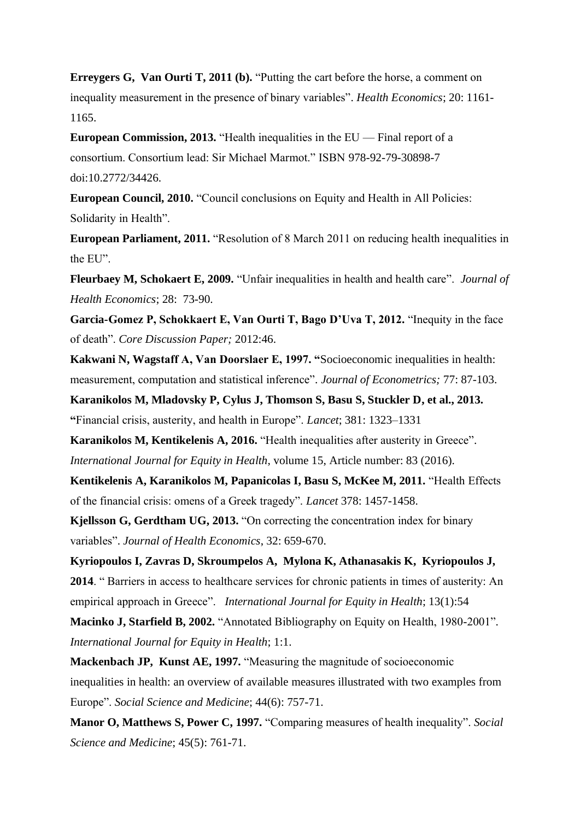**Erreygers G, Van Ourti T, 2011 (b).** "Putting the cart before the horse, a comment on inequality measurement in the presence of binary variables". *Health Economics*; 20: 1161- 1165.

**European Commission, 2013.** "Health inequalities in the EU — Final report of a consortium. Consortium lead: Sir Michael Marmot." ISBN 978-92-79-30898-7 doi:10.2772/34426.

**European Council, 2010.** "Council conclusions on Equity and Health in All Policies: Solidarity in Health".

**European Parliament, 2011.** "Resolution of 8 March 2011 on reducing health inequalities in the EU".

**Fleurbaey M, Schokaert E, 2009.** "Unfair inequalities in health and health care". *Journal of Health Economics*; 28: 73-90.

**Garcia-Gomez P, Schokkaert E, Van Ourti T, Bago D'Uva T, 2012.** "Inequity in the face of death". *Core Discussion Paper;* 2012:46.

**Kakwani N, Wagstaff A, Van Doorslaer E, 1997. "**Socioeconomic inequalities in health: measurement, computation and statistical inference". *Journal of Econometrics;* 77: 87-103.

**Karanikolos M, Mladovsky P, Cylus J, Thomson S, Basu S, Stuckler D, et al., 2013. "**Financial crisis, austerity, and health in Europe". *Lancet*; 381: 1323–1331

**Karanikolos M, Kentikelenis A, 2016.** "Health inequalities after austerity in Greece". *International Journal for Equity in Health*, volume 15, Article number: 83 (2016).

**Kentikelenis A, Karanikolos M, Papanicolas I, Basu S, McKee M, 2011.** "Health Effects of the financial crisis: omens of a Greek tragedy". *Lancet* 378: 1457-1458.

**Kjellsson G, Gerdtham UG, 2013.** "On correcting the concentration index for binary variables". *Journal of Health Economics*, 32: 659-670.

**Kyriopoulos I, Zavras D, Skroumpelos A, Mylona K, Athanasakis K, Kyriopoulos J, 2014**. " Barriers in access to healthcare services for chronic patients in times of austerity: An empirical approach in Greece". *International Journal for Equity in Health*; 13(1):54

**Macinko J, Starfield B, 2002.** "Annotated Bibliography on Equity on Health, 1980-2001". *International Journal for Equity in Health*; 1:1.

**Mackenbach JP, Kunst AE, 1997.** "Measuring the magnitude of socioeconomic inequalities in health: an overview of available measures illustrated with two examples from Europe". *Social Science and Medicine*; 44(6): 757-71.

**Manor O, Matthews S, Power C, 1997.** "Comparing measures of health inequality". *Social Science and Medicine*; 45(5): 761-71.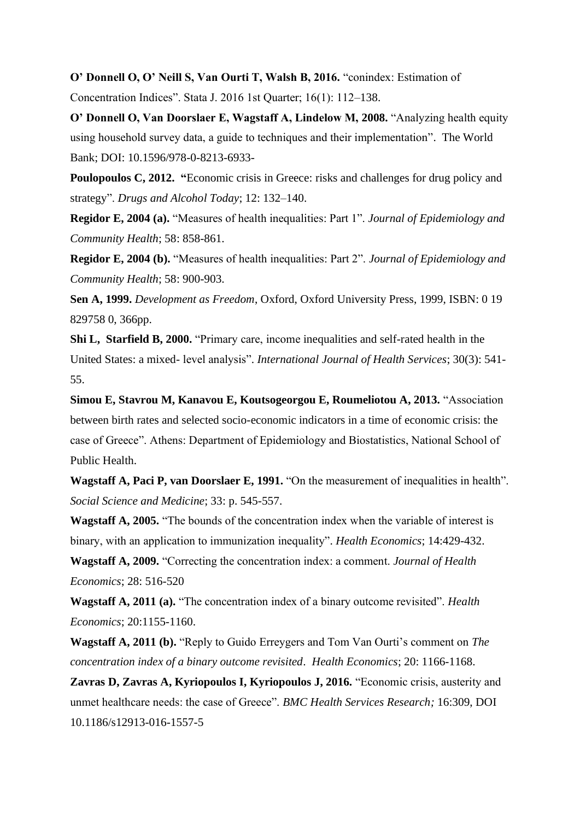**O' Donnell O, O' Neill S, Van Ourti T, Walsh B, 2016.** "conindex: Estimation of

Concentration Indices". Stata J. 2016 1st Quarter; 16(1): 112–138.

**O' Donnell O, Van Doorslaer E, Wagstaff A, Lindelow M, 2008.** "Analyzing health equity using household survey data, a guide to techniques and their implementation". The World Bank; DOI: 10.1596/978-0-8213-6933-

**Poulopoulos C, 2012.** "Economic crisis in Greece: risks and challenges for drug policy and strategy". *Drugs and Alcohol Today*; 12: 132–140.

**Regidor E, 2004 (a).** "Measures of health inequalities: Part 1". *Journal of Epidemiology and Community Health*; 58: 858-861.

**Regidor E, 2004 (b).** "Measures of health inequalities: Part 2". *Journal of Epidemiology and Community Health*; 58: 900-903.

**Sen A, 1999.** *Development as Freedom*, Oxford, Oxford University Press, 1999, ISBN: 0 19 829758 0, 366pp.

**Shi L, Starfield B, 2000.** "Primary care, income inequalities and self-rated health in the United States: a mixed- level analysis". *International Journal of Health Services*; 30(3): 541- 55.

**Simou E, Stavrou M, Kanavou E, Koutsogeorgou E, Roumeliotou A, 2013.** "Association between birth rates and selected socio-economic indicators in a time of economic crisis: the case of Greece". Athens: Department of Epidemiology and Biostatistics, National School of Public Health.

**Wagstaff A, Paci P, van Doorslaer E, 1991.** "On the measurement of inequalities in health". *Social Science and Medicine*; 33: p. 545-557.

**Wagstaff A, 2005.** "The bounds of the concentration index when the variable of interest is binary, with an application to immunization inequality". *Health Economics*; 14:429-432.

**Wagstaff A, 2009.** "Correcting the concentration index: a comment. *Journal of Health Economics*; 28: 516-520

**Wagstaff A, 2011 (a).** "The concentration index of a binary outcome revisited". *Health Economics*; 20:1155-1160.

**Wagstaff A, 2011 (b).** "Reply to Guido Erreygers and Tom Van Ourti's comment on *The concentration index of a binary outcome revisited*. *Health Economics*; 20: 1166-1168.

**Zavras D, Zavras A, Kyriopoulos I, Kyriopoulos J, 2016.** "Economic crisis, austerity and unmet healthcare needs: the case of Greece". *BMC Health Services Research;* 16:309, DOI 10.1186/s12913-016-1557-5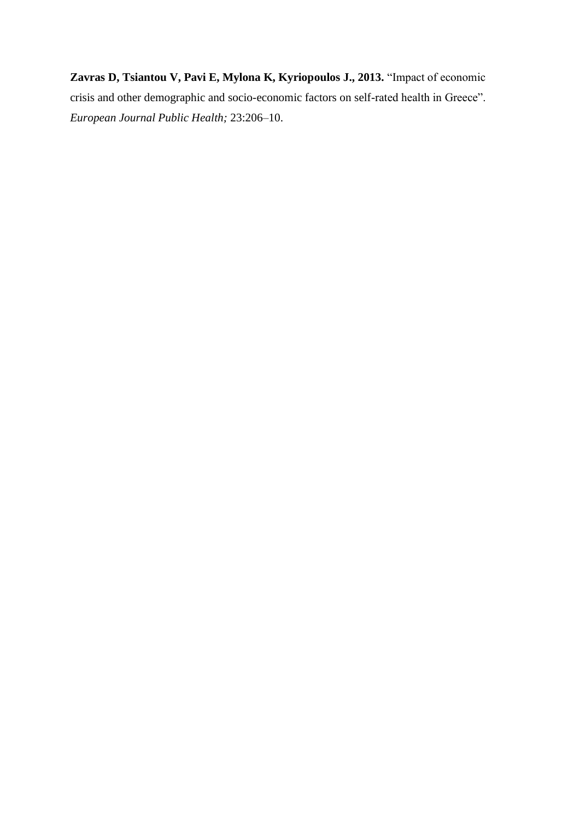**Zavras D, Tsiantou V, Pavi E, Mylona K, Kyriopoulos J., 2013.** "Impact of economic crisis and other demographic and socio-economic factors on self-rated health in Greece". *European Journal Public Health;* 23:206–10.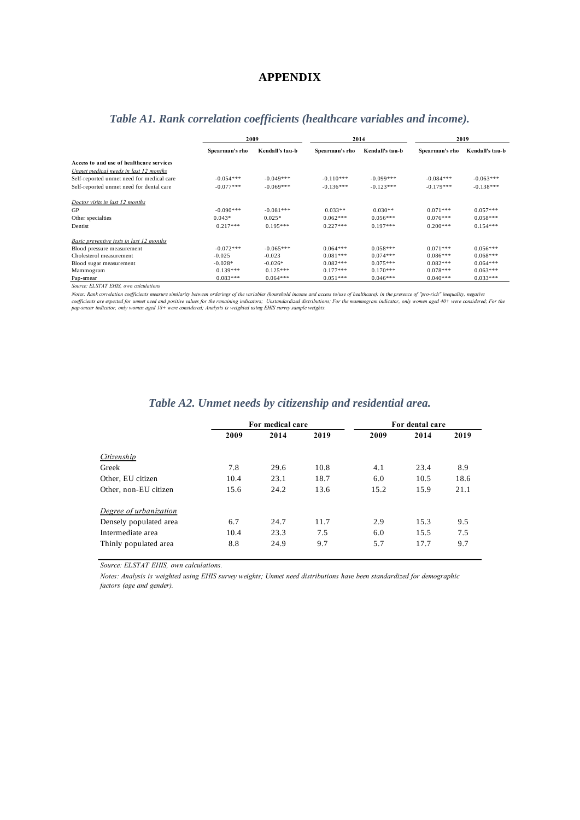#### **APPENDIX**

|                                           | 2009           |                 | 2014           |                 | 2019           |                 |
|-------------------------------------------|----------------|-----------------|----------------|-----------------|----------------|-----------------|
|                                           | Spearman's rho | Kendall's tau-b | Spearman's rho | Kendall's tau-b | Spearman's rho | Kendall's tau-b |
| Access to and use of healthcare services  |                |                 |                |                 |                |                 |
| Unmet medical needs in last 12 months     |                |                 |                |                 |                |                 |
| Self-reported unmet need for medical care | $-0.054***$    | $-0.049***$     | $-0.110***$    | $-0.099***$     | $-0.084***$    | $-0.063***$     |
| Self-reported unmet need for dental care  | $-0.077***$    | $-0.069***$     | $-0.136***$    | $-0.123***$     | $-0.179***$    | $-0.138***$     |
| Doctor visits in last 12 months           |                |                 |                |                 |                |                 |
| GP                                        | $-0.090***$    | $-0.081***$     | $0.033**$      | $0.030**$       | $0.071***$     | $0.057***$      |
| Other specialties                         | $0.043*$       | $0.025*$        | $0.062***$     | $0.056***$      | $0.076***$     | $0.058***$      |
| Dentist                                   | $0.217***$     | $0.195***$      | $0.227***$     | $0.197***$      | $0.200***$     | $0.154***$      |
| Basic preventive tests in last 12 months  |                |                 |                |                 |                |                 |
| Blood pressure measurement                | $-0.072***$    | $-0.065***$     | $0.064***$     | $0.058***$      | $0.071***$     | $0.056***$      |
| Cholesterol measurement                   | $-0.025$       | $-0.023$        | $0.081***$     | $0.074***$      | $0.086***$     | $0.068***$      |
| Blood sugar measurement                   | $-0.028*$      | $-0.026*$       | $0.082***$     | $0.075***$      | $0.082***$     | $0.064***$      |
| Mammogram                                 | $0.139***$     | $0.125***$      | $0.177***$     | $0.170***$      | $0.078***$     | $0.063***$      |
| Pap-smear                                 | $0.083***$     | $0.064***$      | $0.051***$     | $0.046***$      | $0.040***$     | $0.033***$      |

## *Table A1. Rank correlation coefficients (healthcare variables and income).*

*Source: ELSTAT EHIS, own calculations*

Notes: Rank correlation coefficients measure similarity between orderings of the variables (household income and access to/use of healthcare): in the presence of "pro-rich" inequality, negative<br>coefficients are expected fo

|                        |      | For medical care |      | For dental care |      |      |  |  |  |
|------------------------|------|------------------|------|-----------------|------|------|--|--|--|
|                        | 2009 | 2014             | 2019 | 2009            | 2014 | 2019 |  |  |  |
| Citizenship            |      |                  |      |                 |      |      |  |  |  |
| Greek                  | 7.8  | 29.6             | 10.8 | 4.1             | 23.4 | 8.9  |  |  |  |
| Other, EU citizen      | 10.4 | 23.1             | 18.7 | 6.0             | 10.5 | 18.6 |  |  |  |
| Other, non-EU citizen  | 15.6 | 24.2             | 13.6 | 15.2            | 15.9 | 21.1 |  |  |  |
| Degree of urbanization |      |                  |      |                 |      |      |  |  |  |
| Densely populated area | 6.7  | 24.7             | 11.7 | 2.9             | 15.3 | 9.5  |  |  |  |
| Intermediate area      | 10.4 | 23.3             | 7.5  | 6.0             | 15.5 | 7.5  |  |  |  |
| Thinly populated area  | 8.8  | 24.9             | 9.7  | 5.7             | 17.7 | 9.7  |  |  |  |

#### *Table A2. Unmet needs by citizenship and residential area.*

*Source: ELSTAT EHIS, own calculations.*

Notes: Analysis is weighted using EHIS survey weights; Unmet need distributions have been standardized for demographic *factors (age and gender).*